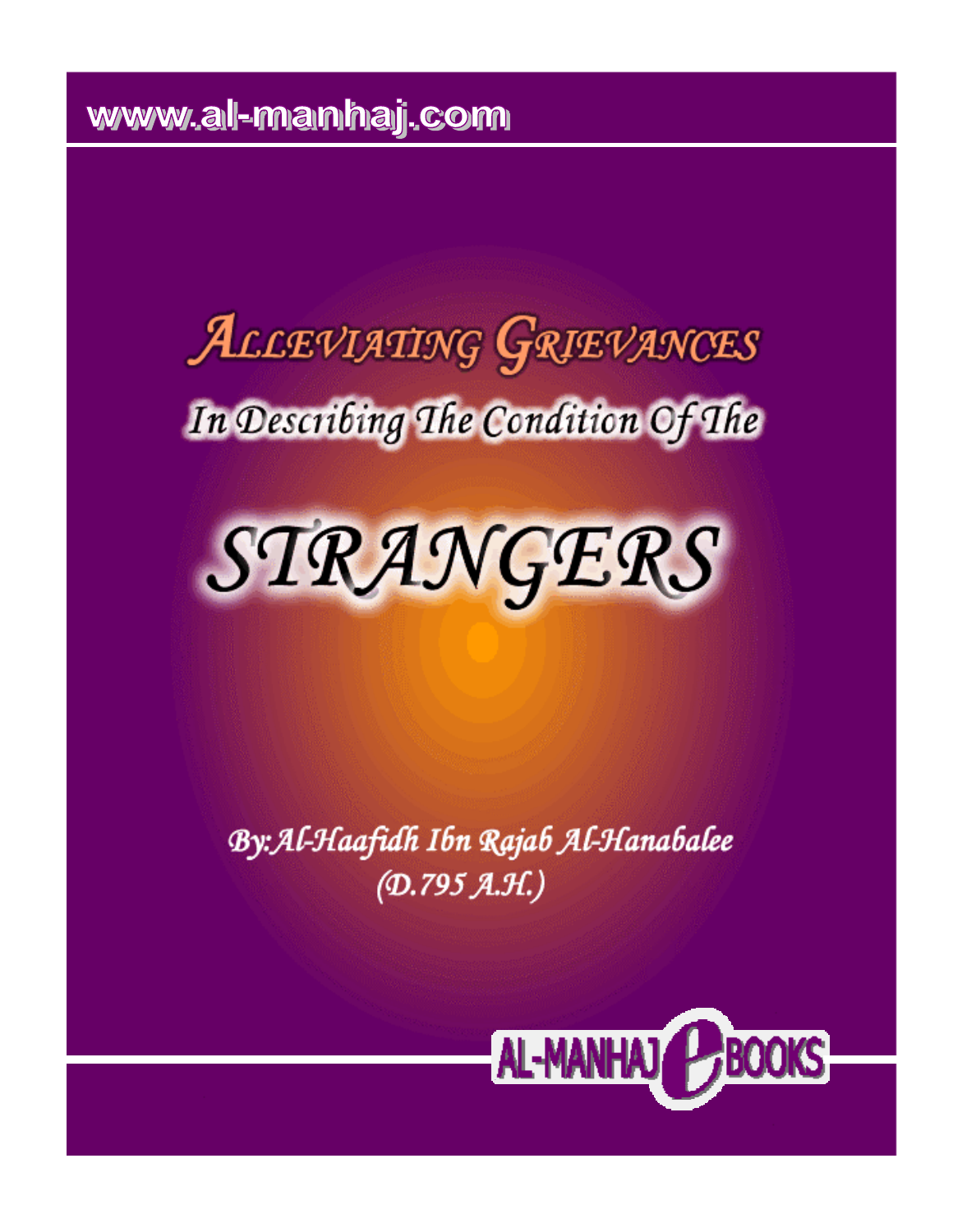www.all-manhaj.com

# ALLEVIATING GRIEVANCES In Describing The Condition Of The



By: Al-Haafidh Ibn Rajab Al-Hanabalee  $(D.795 A.H.)$ 

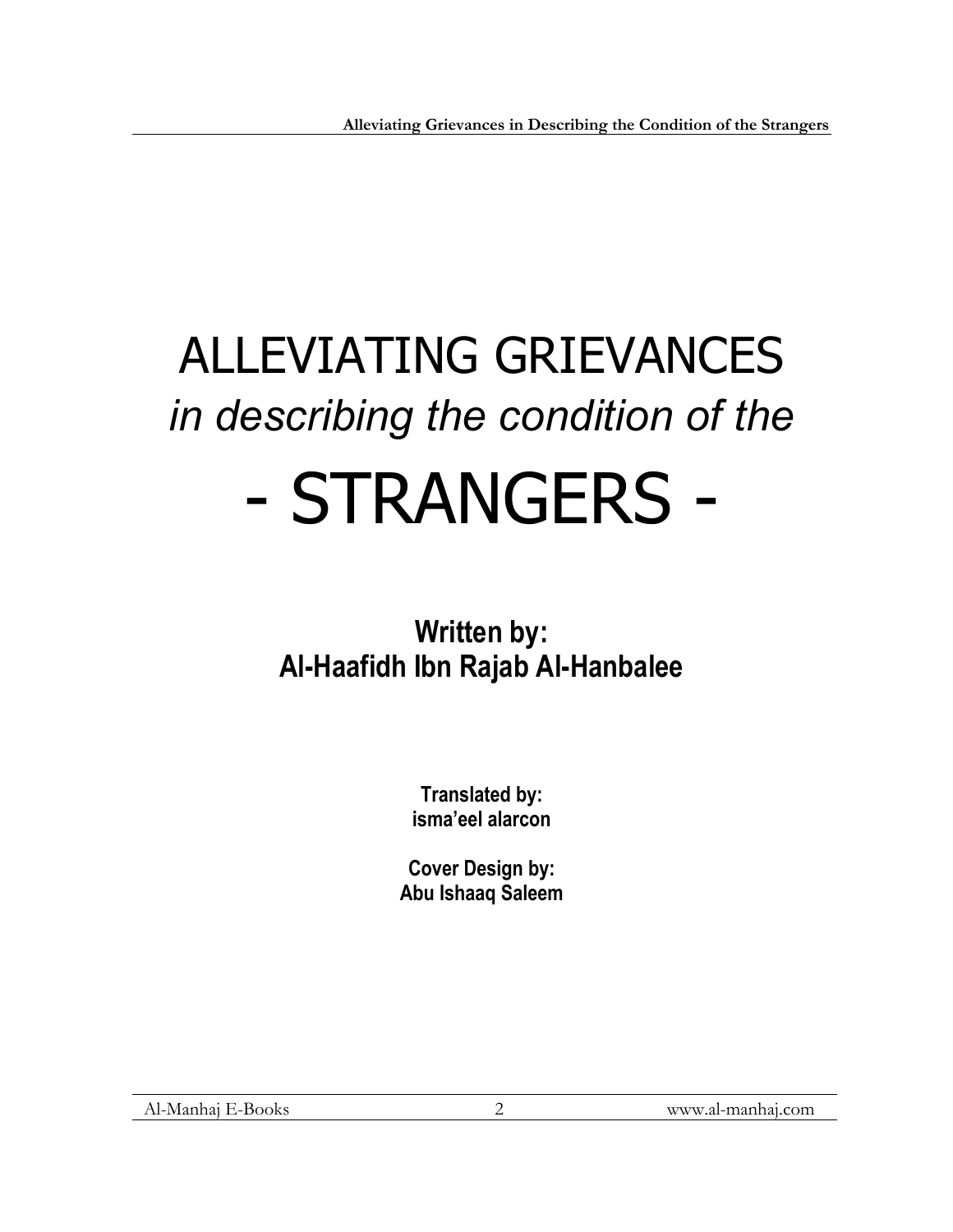# ALLEVIATING GRIEVANCES *in describing the condition of the*  - STRANGERS -

# **Written by: Al-Haafidh Ibn Rajab Al-Hanbalee**

**Translated by: isma'eel alarcon** 

**Cover Design by: Abu Ishaaq Saleem**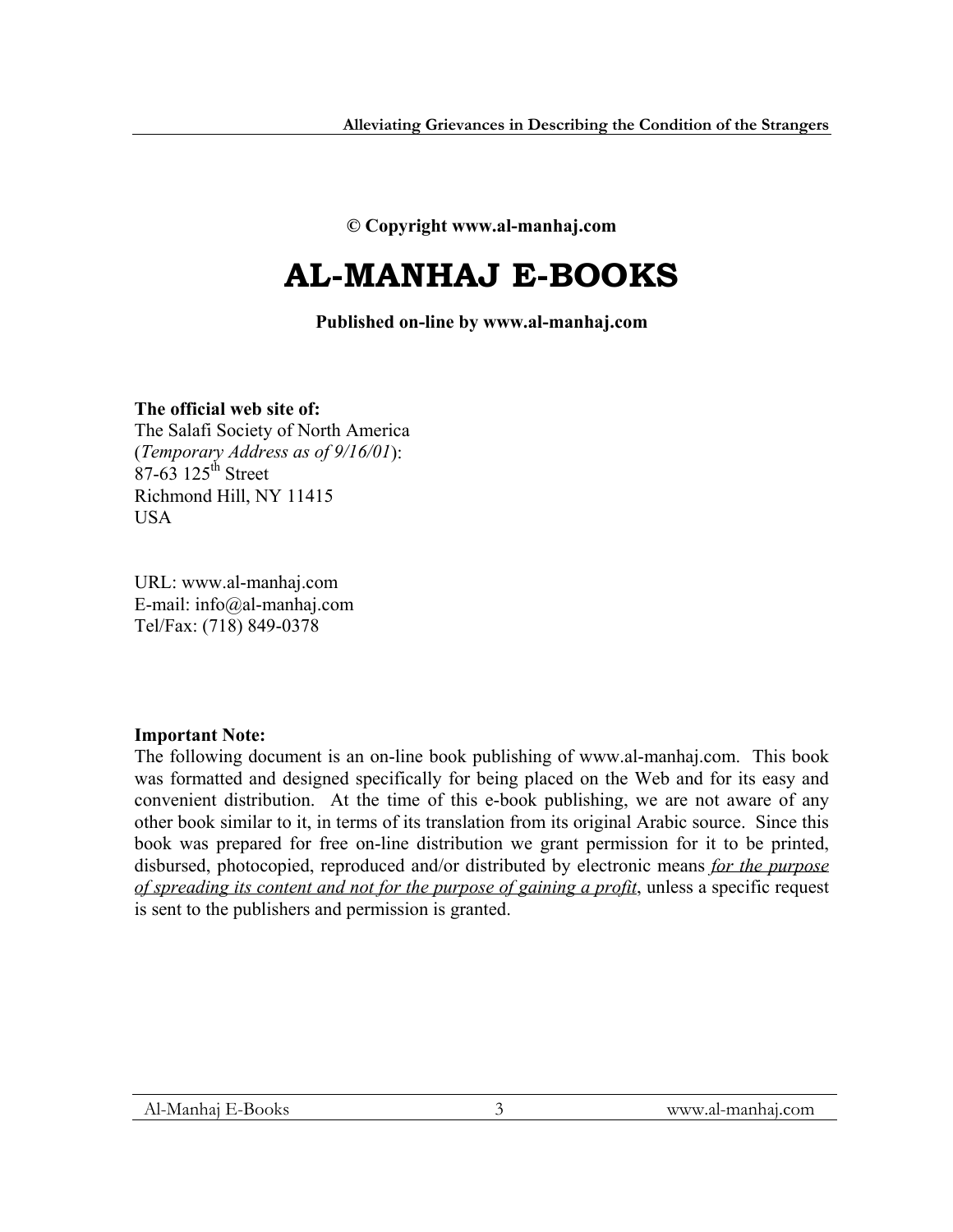**© Copyright www.al-manhaj.com** 

# **AL-MANHAJ E-BOOKS**

**Published on-line by www.al-manhaj.com**

**The official web site of:**  The Salafi Society of North America (*Temporary Address as of 9/16/01*):  $87-63$  125<sup>th</sup> Street Richmond Hill, NY 11415 **USA** 

URL: www.al-manhaj.com E-mail: info@al-manhaj.com Tel/Fax: (718) 849-0378

# **Important Note:**

The following document is an on-line book publishing of www.al-manhaj.com. This book was formatted and designed specifically for being placed on the Web and for its easy and convenient distribution. At the time of this e-book publishing, we are not aware of any other book similar to it, in terms of its translation from its original Arabic source. Since this book was prepared for free on-line distribution we grant permission for it to be printed, disbursed, photocopied, reproduced and/or distributed by electronic means *for the purpose of spreading its content and not for the purpose of gaining a profit*, unless a specific request is sent to the publishers and permission is granted.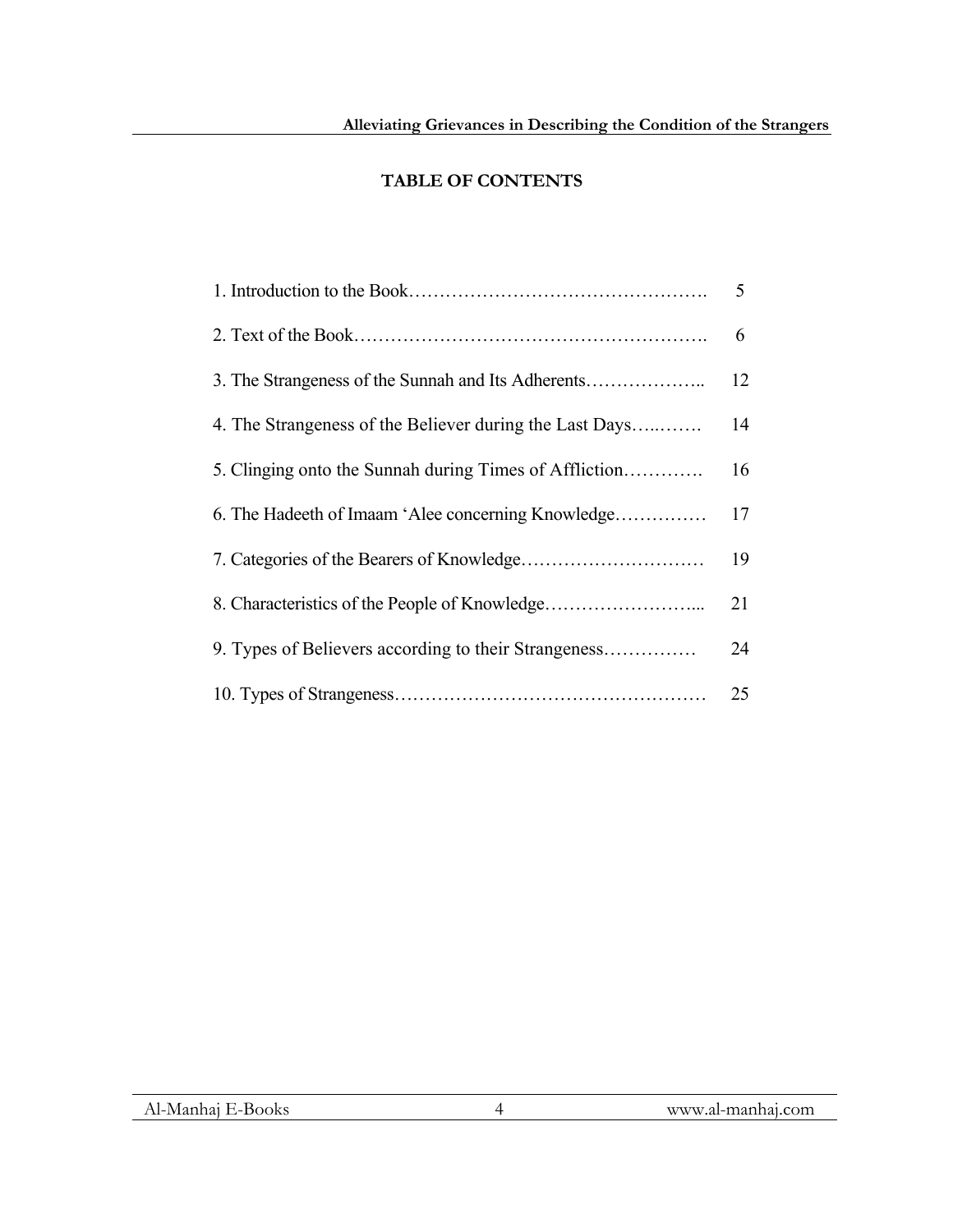# **TABLE OF CONTENTS**

|                                                         | 5  |
|---------------------------------------------------------|----|
|                                                         | 6  |
| 3. The Strangeness of the Sunnah and Its Adherents      | 12 |
| 4. The Strangeness of the Believer during the Last Days | 14 |
| 5. Clinging onto the Sunnah during Times of Affliction  | 16 |
| 6. The Hadeeth of Imaam 'Alee concerning Knowledge      | 17 |
|                                                         | 19 |
|                                                         | 21 |
| 9. Types of Believers according to their Strangeness    | 24 |
|                                                         | 25 |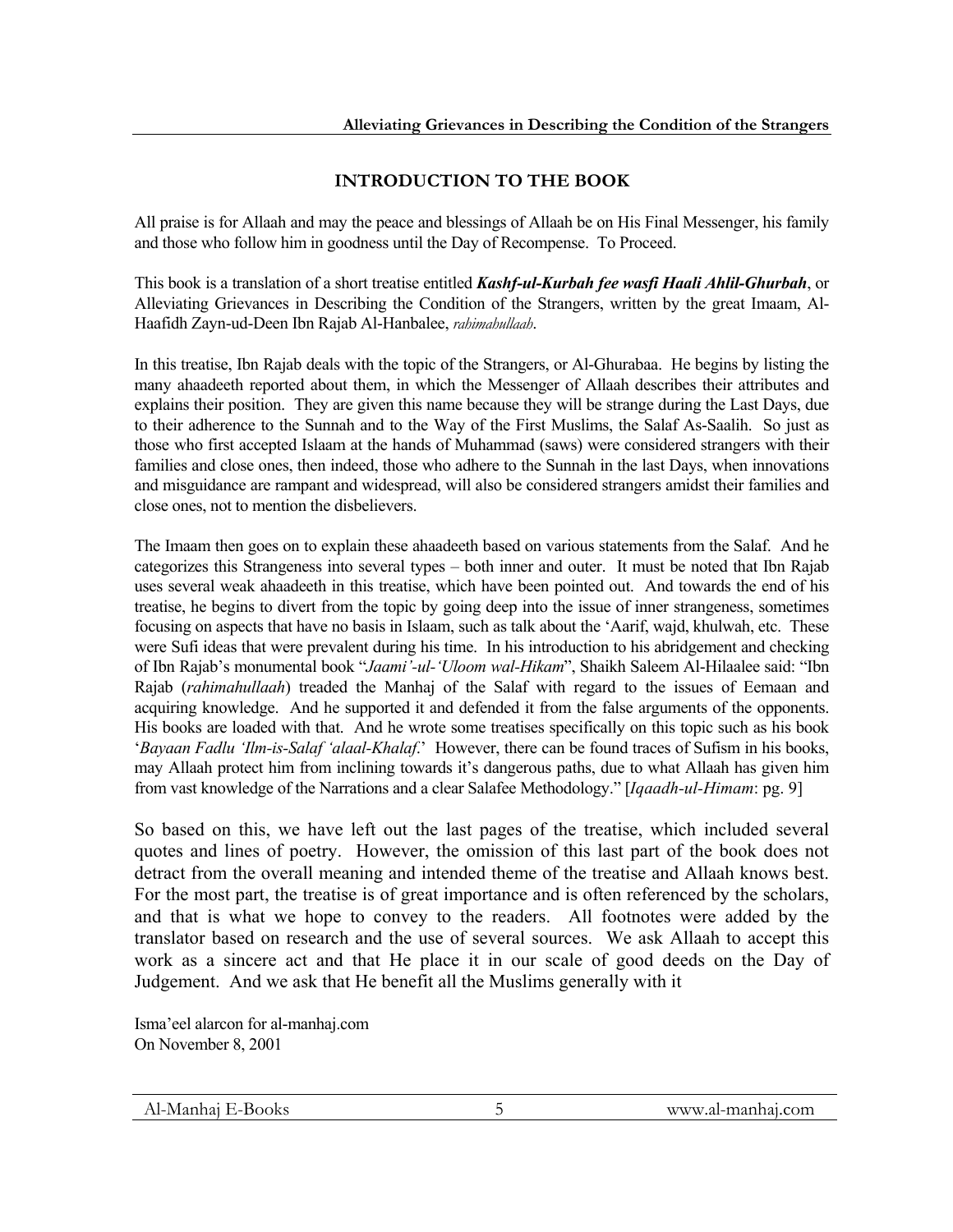# **INTRODUCTION TO THE BOOK**

All praise is for Allaah and may the peace and blessings of Allaah be on His Final Messenger, his family and those who follow him in goodness until the Day of Recompense. To Proceed.

This book is a translation of a short treatise entitled *Kashf-ul-Kurbah fee wasfi Haali Ahlil-Ghurbah*, or Alleviating Grievances in Describing the Condition of the Strangers, written by the great Imaam, Al-Haafidh Zayn-ud-Deen Ibn Rajab Al-Hanbalee, *rahimahullaah*.

In this treatise, Ibn Rajab deals with the topic of the Strangers, or Al-Ghurabaa. He begins by listing the many ahaadeeth reported about them, in which the Messenger of Allaah describes their attributes and explains their position. They are given this name because they will be strange during the Last Days, due to their adherence to the Sunnah and to the Way of the First Muslims, the Salaf As-Saalih. So just as those who first accepted Islaam at the hands of Muhammad (saws) were considered strangers with their families and close ones, then indeed, those who adhere to the Sunnah in the last Days, when innovations and misguidance are rampant and widespread, will also be considered strangers amidst their families and close ones, not to mention the disbelievers.

The Imaam then goes on to explain these ahaadeeth based on various statements from the Salaf. And he categorizes this Strangeness into several types – both inner and outer. It must be noted that Ibn Rajab uses several weak ahaadeeth in this treatise, which have been pointed out. And towards the end of his treatise, he begins to divert from the topic by going deep into the issue of inner strangeness, sometimes focusing on aspects that have no basis in Islaam, such as talk about the 'Aarif, wajd, khulwah, etc. These were Sufi ideas that were prevalent during his time. In his introduction to his abridgement and checking of Ibn Rajab's monumental book "*Jaami'-ul-'Uloom wal-Hikam*", Shaikh Saleem Al-Hilaalee said: "Ibn Rajab (*rahimahullaah*) treaded the Manhaj of the Salaf with regard to the issues of Eemaan and acquiring knowledge. And he supported it and defended it from the false arguments of the opponents. His books are loaded with that. And he wrote some treatises specifically on this topic such as his book '*Bayaan Fadlu 'Ilm-is-Salaf 'alaal-Khalaf*.' However, there can be found traces of Sufism in his books, may Allaah protect him from inclining towards it's dangerous paths, due to what Allaah has given him from vast knowledge of the Narrations and a clear Salafee Methodology." [*Iqaadh-ul-Himam*: pg. 9]

So based on this, we have left out the last pages of the treatise, which included several quotes and lines of poetry. However, the omission of this last part of the book does not detract from the overall meaning and intended theme of the treatise and Allaah knows best. For the most part, the treatise is of great importance and is often referenced by the scholars, and that is what we hope to convey to the readers. All footnotes were added by the translator based on research and the use of several sources. We ask Allaah to accept this work as a sincere act and that He place it in our scale of good deeds on the Day of Judgement. And we ask that He benefit all the Muslims generally with it

Isma'eel alarcon for al-manhaj.com On November 8, 2001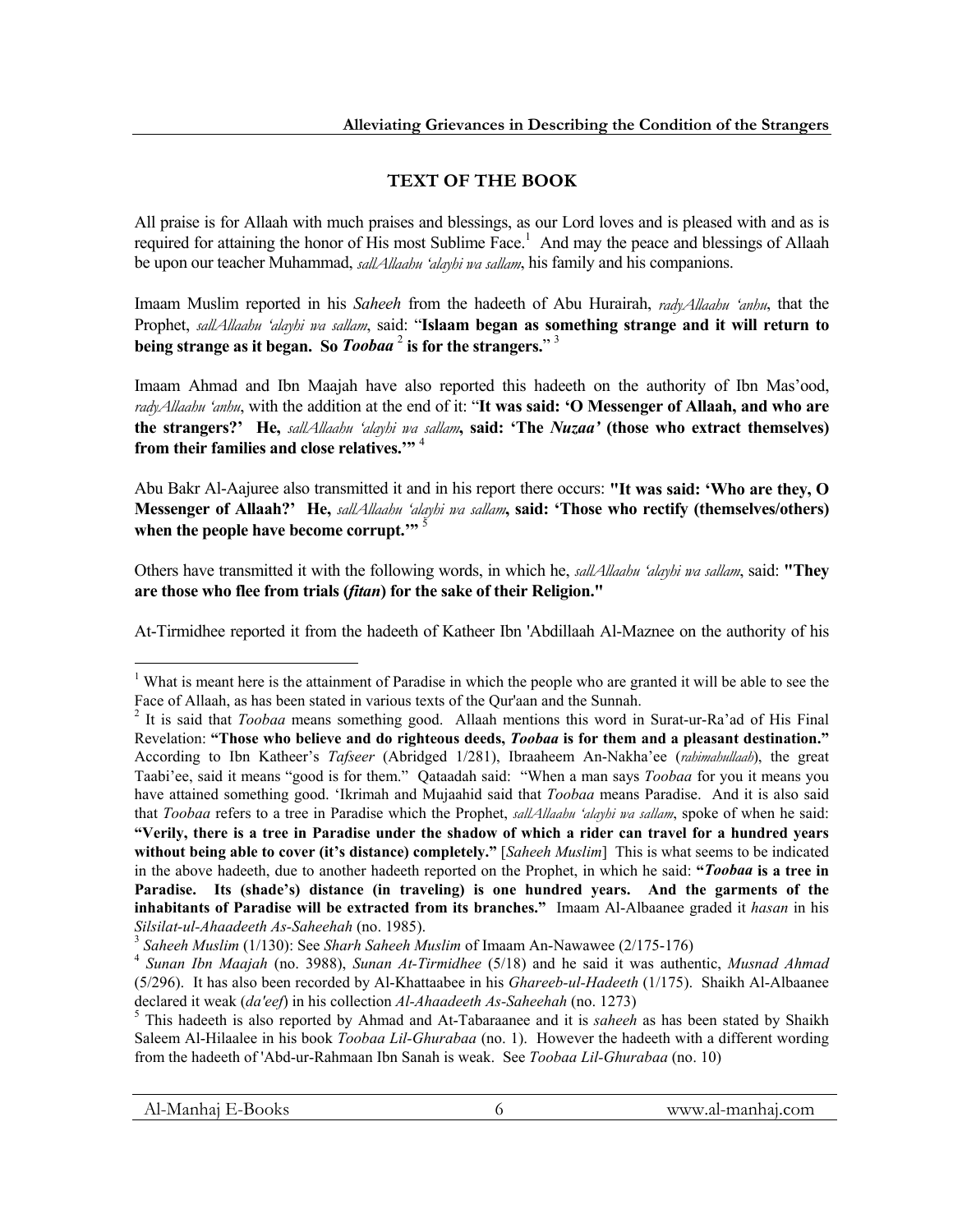# **TEXT OF THE BOOK**

All praise is for Allaah with much praises and blessings, as our Lord loves and is pleased with and as is required for attaining the honor of His most Sublime Face.<sup>1</sup> And may the peace and blessings of Allaah be upon our teacher Muhammad, *sallAllaahu 'alayhi wa sallam*, his family and his companions.

Imaam Muslim reported in his *Saheeh* from the hadeeth of Abu Hurairah, *radyAllaahu 'anhu*, that the Prophet, *sallAllaahu 'alayhi wa sallam*, said: "**Islaam began as something strange and it will return to being strange as it began. So** *Toobaa* <sup>2</sup> **is for the strangers.**" 3

Imaam Ahmad and Ibn Maajah have also reported this hadeeth on the authority of Ibn Mas'ood, *radyAllaahu 'anhu*, with the addition at the end of it: "**It was said: 'O Messenger of Allaah, and who are the strangers?' He,** *sallAllaahu 'alayhi wa sallam***, said: 'The** *Nuzaa'* **(those who extract themselves) from their families and close relatives.'"** <sup>4</sup>

Abu Bakr Al-Aajuree also transmitted it and in his report there occurs: **"It was said: 'Who are they, O Messenger of Allaah?' He,** *sallAllaahu 'alayhi wa sallam***, said: 'Those who rectify (themselves/others)**  when the people have become corrupt."<sup>5</sup>

Others have transmitted it with the following words, in which he, *sallAllaahu 'alayhi wa sallam*, said: **"They are those who flee from trials (***fitan***) for the sake of their Religion."**

At-Tirmidhee reported it from the hadeeth of Katheer Ibn 'Abdillaah Al-Maznee on the authority of his

l

<sup>&</sup>lt;sup>1</sup> What is meant here is the attainment of Paradise in which the people who are granted it will be able to see the Face of Allaah, as has been stated in various texts of the Qur'aan and the Sunnah. <sup>2</sup>

<sup>&</sup>lt;sup>2</sup> It is said that *Toobaa* means something good. Allaah mentions this word in Surat-ur-Ra'ad of His Final Revelation: **"Those who believe and do righteous deeds,** *Toobaa* **is for them and a pleasant destination."** According to Ibn Katheer's *Tafseer* (Abridged 1/281), Ibraaheem An-Nakha'ee (*rahimahullaah*), the great Taabi'ee, said it means "good is for them." Qataadah said: "When a man says *Toobaa* for you it means you have attained something good. 'Ikrimah and Mujaahid said that *Toobaa* means Paradise. And it is also said that *Toobaa* refers to a tree in Paradise which the Prophet, *sallAllaahu 'alayhi wa sallam*, spoke of when he said: **"Verily, there is a tree in Paradise under the shadow of which a rider can travel for a hundred years without being able to cover (it's distance) completely."** [*Saheeh Muslim*] This is what seems to be indicated in the above hadeeth, due to another hadeeth reported on the Prophet, in which he said: **"***Toobaa* **is a tree in Paradise. Its (shade's) distance (in traveling) is one hundred years. And the garments of the inhabitants of Paradise will be extracted from its branches."** Imaam Al-Albaanee graded it *hasan* in his

Silsilat-ul-Ahaadeeth As-Saheehah (no. 1985).<br><sup>3</sup> Saheeh Muslim (1/130): See Sharh Saheeh Muslim of Imaam An-Nawawee (2/175-176)<br><sup>4</sup> Sunan Ibn Maajah (no. 3988), Sunan At-Tirmidhee (5/18) and he said it was authentic, Mus (5/296). It has also been recorded by Al-Khattaabee in his *Ghareeb-ul-Hadeeth* (1/175). Shaikh Al-Albaanee declared it weak (*da'eef*) in his collection *Al-Ahaadeeth As-Saheehah* (no. 1273)

This hadeeth is also reported by Ahmad and At-Tabaraanee and it is *saheeh* as has been stated by Shaikh Saleem Al-Hilaalee in his book *Toobaa Lil-Ghurabaa* (no. 1). However the hadeeth with a different wording from the hadeeth of 'Abd-ur-Rahmaan Ibn Sanah is weak. See *Toobaa Lil-Ghurabaa* (no. 10)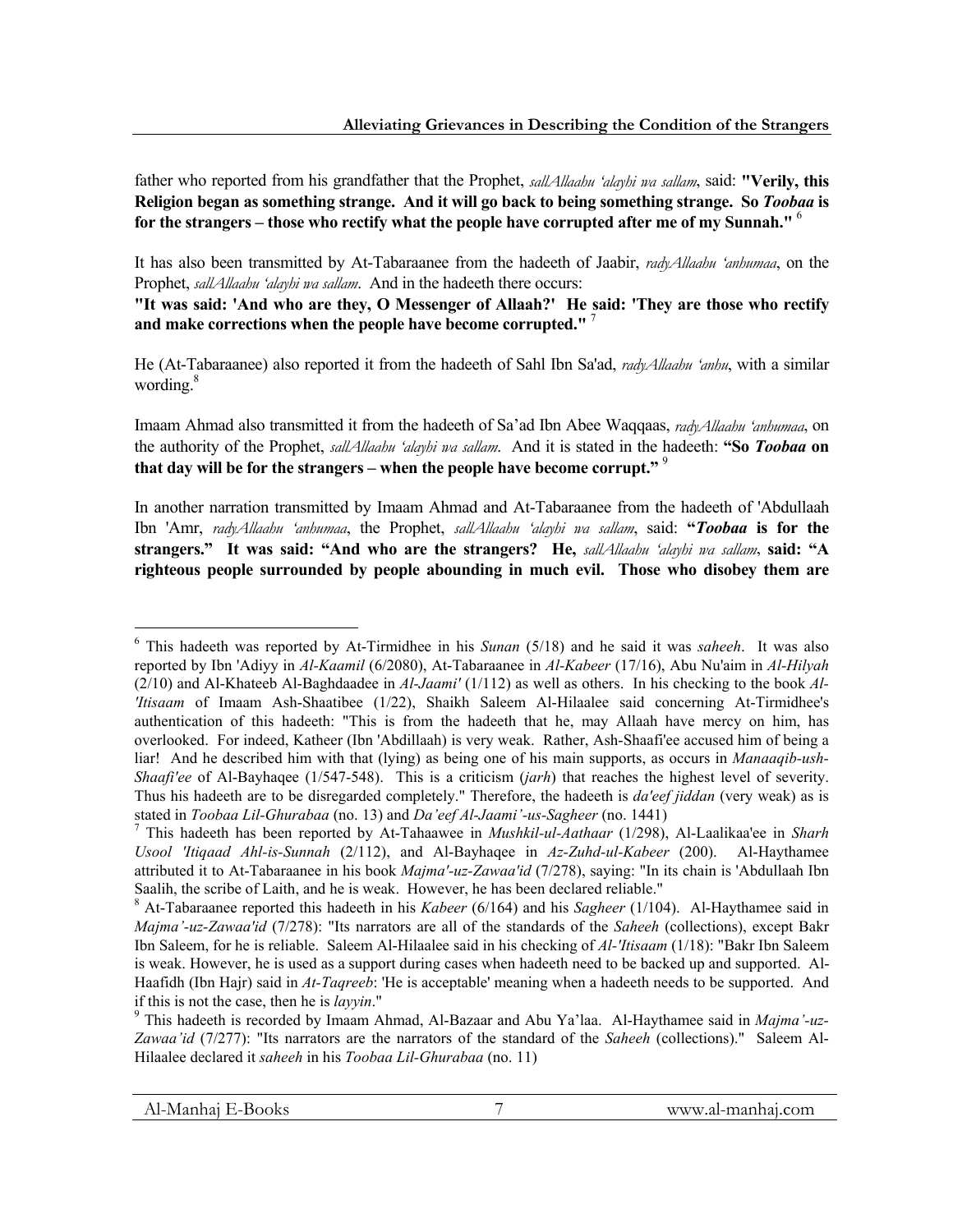father who reported from his grandfather that the Prophet, *sallAllaahu 'alayhi wa sallam*, said: **"Verily, this Religion began as something strange. And it will go back to being something strange. So** *Toobaa* **is for the strangers – those who rectify what the people have corrupted after me of my Sunnah."** <sup>6</sup>

It has also been transmitted by At-Tabaraanee from the hadeeth of Jaabir, *radyAllaahu 'anhumaa*, on the Prophet, *sallAllaahu 'alayhi wa sallam*. And in the hadeeth there occurs:

**"It was said: 'And who are they, O Messenger of Allaah?' He said: 'They are those who rectify and make corrections when the people have become corrupted."** <sup>7</sup>

He (At-Tabaraanee) also reported it from the hadeeth of Sahl Ibn Sa'ad, *radyAllaahu 'anhu*, with a similar wording.<sup>8</sup>

Imaam Ahmad also transmitted it from the hadeeth of Sa'ad Ibn Abee Waqqaas, *radyAllaahu 'anhumaa*, on the authority of the Prophet, *sallAllaahu 'alayhi wa sallam*. And it is stated in the hadeeth: **"So** *Toobaa* **on that day will be for the strangers – when the people have become corrupt."** <sup>9</sup>

In another narration transmitted by Imaam Ahmad and At-Tabaraanee from the hadeeth of 'Abdullaah Ibn 'Amr, *radyAllaahu 'anhumaa*, the Prophet, *sallAllaahu 'alayhi wa sallam*, said: **"***Toobaa* **is for the strangers." It was said: "And who are the strangers? He,** *sallAllaahu 'alayhi wa sallam*, **said: "A righteous people surrounded by people abounding in much evil. Those who disobey them are** 

<sup>6</sup> This hadeeth was reported by At-Tirmidhee in his *Sunan* (5/18) and he said it was *saheeh*. It was also reported by Ibn 'Adiyy in *Al-Kaamil* (6/2080), At-Tabaraanee in *Al-Kabeer* (17/16), Abu Nu'aim in *Al-Hilyah*  (2/10) and Al-Khateeb Al-Baghdaadee in *Al-Jaami'* (1/112) as well as others. In his checking to the book *Al- 'Itisaam* of Imaam Ash-Shaatibee (1/22), Shaikh Saleem Al-Hilaalee said concerning At-Tirmidhee's authentication of this hadeeth: "This is from the hadeeth that he, may Allaah have mercy on him, has overlooked. For indeed, Katheer (Ibn 'Abdillaah) is very weak. Rather, Ash-Shaafi'ee accused him of being a liar! And he described him with that (lying) as being one of his main supports, as occurs in *Manaaqib-ush-Shaafi'ee* of Al-Bayhaqee (1/547-548). This is a criticism (*jarh*) that reaches the highest level of severity. Thus his hadeeth are to be disregarded completely." Therefore, the hadeeth is *da'eef jiddan* (very weak) as is stated in *Toobaa Lil-Ghurabaa* (no. 13) and *Da'eef Al-Jaami'-us-Sagheer* (no. 1441) <sup>7</sup>

This hadeeth has been reported by At-Tahaawee in *Mushkil-ul-Aathaar* (1/298), Al-Laalikaa'ee in *Sharh Usool 'Itiqaad Ahl-is-Sunnah* (2/112), and Al-Bayhaqee in *Az-Zuhd-ul-Kabeer* (200). Al-Haythamee attributed it to At-Tabaraanee in his book *Majma'-uz-Zawaa'id* (7/278), saying: "In its chain is 'Abdullaah Ibn Saalih, the scribe of Laith, and he is weak. However, he has been declared reliable."

At-Tabaraanee reported this hadeeth in his *Kabeer* (6/164) and his *Sagheer* (1/104). Al-Haythamee said in *Majma'-uz-Zawaa'id* (7/278): "Its narrators are all of the standards of the *Saheeh* (collections), except Bakr Ibn Saleem, for he is reliable. Saleem Al-Hilaalee said in his checking of *Al-'Itisaam* (1/18): "Bakr Ibn Saleem is weak. However, he is used as a support during cases when hadeeth need to be backed up and supported. Al-Haafidh (Ibn Hajr) said in *At-Taqreeb*: 'He is acceptable' meaning when a hadeeth needs to be supported. And if this is not the case, then he is *layyin*."

This hadeeth is recorded by Imaam Ahmad, Al-Bazaar and Abu Ya'laa. Al-Haythamee said in *Majma'-uz-Zawaa'id* (7/277): "Its narrators are the narrators of the standard of the *Saheeh* (collections)." Saleem Al-Hilaalee declared it *saheeh* in his *Toobaa Lil-Ghurabaa* (no. 11)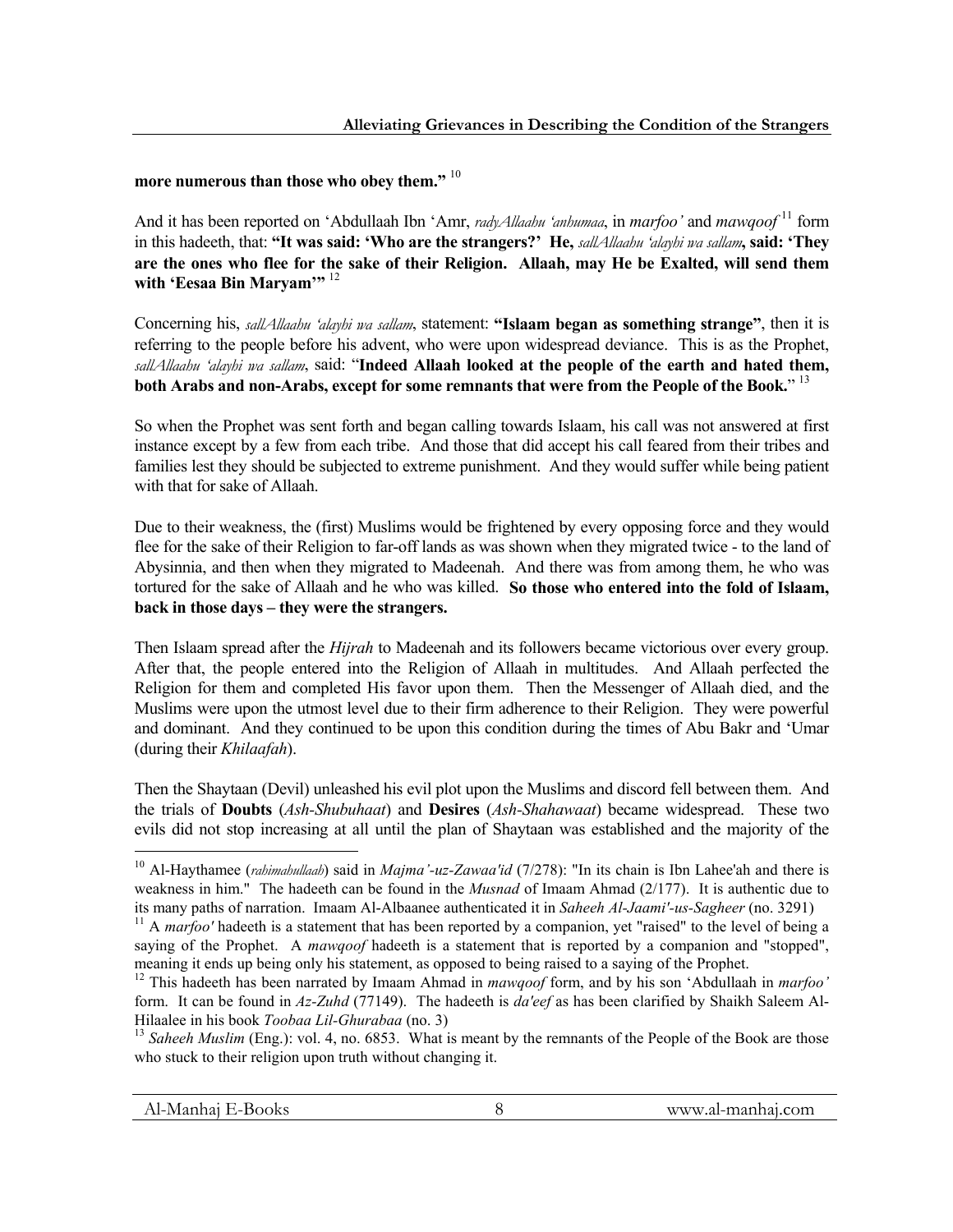# **more numerous than those who obey them."** <sup>10</sup>

And it has been reported on 'Abdullaah Ibn 'Amr, *radyAllaahu 'anhumaa*, in *marfoo'* and *mawqoof* 11 form in this hadeeth, that: **"It was said: 'Who are the strangers?' He,** *sallAllaahu 'alayhi wa sallam***, said: 'They are the ones who flee for the sake of their Religion. Allaah, may He be Exalted, will send them**  with 'Eesaa Bin Maryam'" <sup>12</sup>

Concerning his, *sallAllaahu 'alayhi wa sallam*, statement: **"Islaam began as something strange"**, then it is referring to the people before his advent, who were upon widespread deviance. This is as the Prophet, *sallAllaahu 'alayhi wa sallam*, said: "**Indeed Allaah looked at the people of the earth and hated them, both Arabs and non-Arabs, except for some remnants that were from the People of the Book.**" 13

So when the Prophet was sent forth and began calling towards Islaam, his call was not answered at first instance except by a few from each tribe. And those that did accept his call feared from their tribes and families lest they should be subjected to extreme punishment. And they would suffer while being patient with that for sake of Allaah.

Due to their weakness, the (first) Muslims would be frightened by every opposing force and they would flee for the sake of their Religion to far-off lands as was shown when they migrated twice - to the land of Abysinnia, and then when they migrated to Madeenah. And there was from among them, he who was tortured for the sake of Allaah and he who was killed. **So those who entered into the fold of Islaam, back in those days – they were the strangers.**

Then Islaam spread after the *Hijrah* to Madeenah and its followers became victorious over every group. After that, the people entered into the Religion of Allaah in multitudes. And Allaah perfected the Religion for them and completed His favor upon them. Then the Messenger of Allaah died, and the Muslims were upon the utmost level due to their firm adherence to their Religion. They were powerful and dominant. And they continued to be upon this condition during the times of Abu Bakr and 'Umar (during their *Khilaafah*).

Then the Shaytaan (Devil) unleashed his evil plot upon the Muslims and discord fell between them. And the trials of **Doubts** (*Ash-Shubuhaat*) and **Desires** (*Ash-Shahawaat*) became widespread. These two evils did not stop increasing at all until the plan of Shaytaan was established and the majority of the

<sup>10</sup> Al-Haythamee (*rahimahullaah*) said in *Majma'-uz-Zawaa'id* (7/278): "In its chain is Ibn Lahee'ah and there is weakness in him." The hadeeth can be found in the *Musnad* of Imaam Ahmad (2/177). It is authentic due to its many paths of narration. Imaam Al-Albaanee authenticated it in *Saheeh Al-Jaami'-us-Sagheer* (no. 3291) <sup>11</sup> A *marfoo'* hadeeth is a statement that has been reported by a companion, yet "raised" to the level of being

saying of the Prophet. A *mawqoof* hadeeth is a statement that is reported by a companion and "stopped", meaning it ends up being only his statement, as opposed to being raised to a saying of the Prophet.

<sup>12</sup> This hadeeth has been narrated by Imaam Ahmad in *mawqoof* form, and by his son 'Abdullaah in *marfoo'* form. It can be found in *Az-Zuhd* (77149). The hadeeth is *da'eef* as has been clarified by Shaikh Saleem Al-

<sup>&</sup>lt;sup>13</sup> Saheeh Muslim (Eng.): vol. 4, no. 6853. What is meant by the remnants of the People of the Book are those who stuck to their religion upon truth without changing it.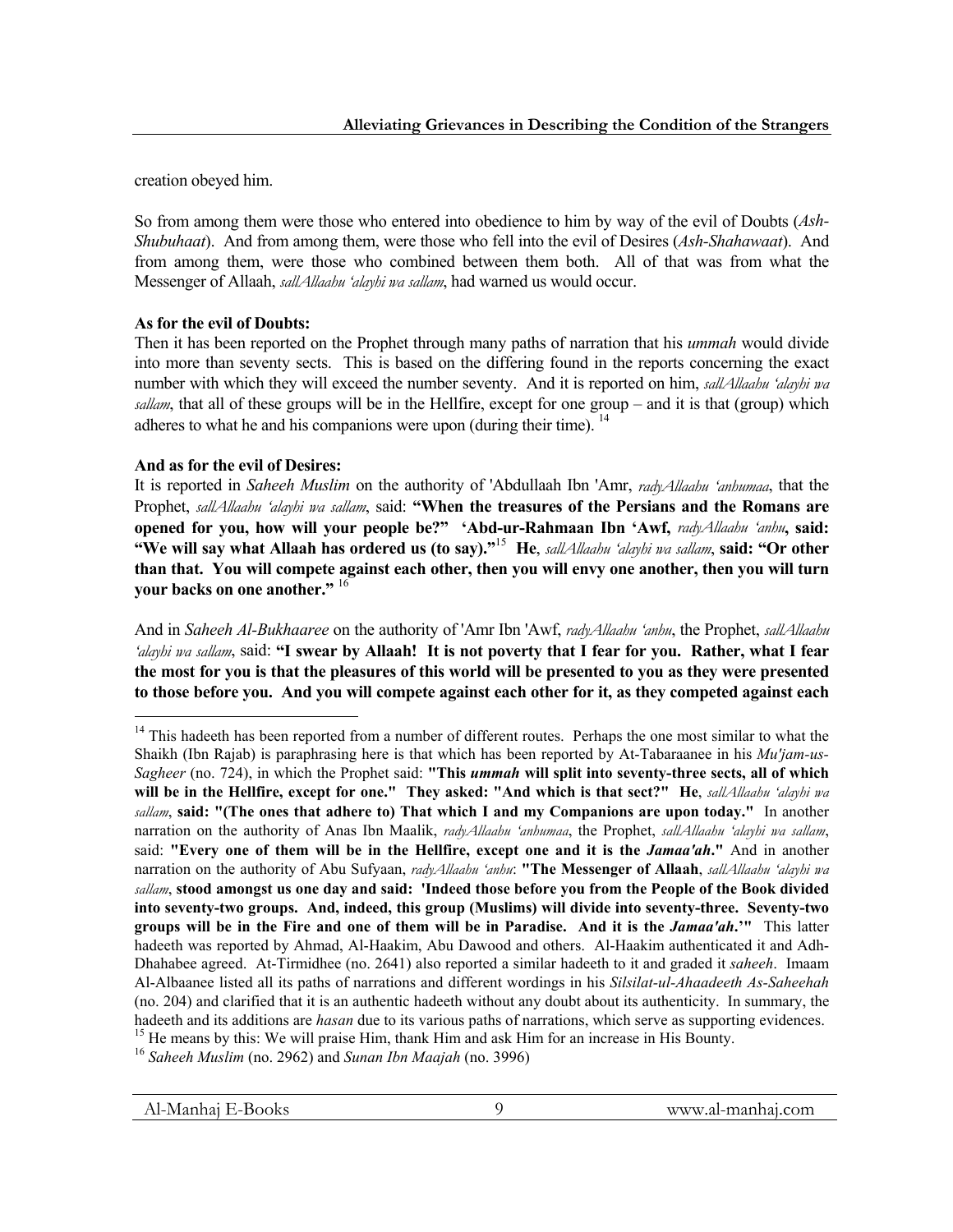creation obeyed him.

So from among them were those who entered into obedience to him by way of the evil of Doubts (*Ash-Shubuhaat*). And from among them, were those who fell into the evil of Desires (*Ash-Shahawaat*). And from among them, were those who combined between them both. All of that was from what the Messenger of Allaah, *sallAllaahu 'alayhi wa sallam*, had warned us would occur.

# **As for the evil of Doubts:**

Then it has been reported on the Prophet through many paths of narration that his *ummah* would divide into more than seventy sects. This is based on the differing found in the reports concerning the exact number with which they will exceed the number seventy. And it is reported on him, *sallAllaahu 'alayhi wa sallam*, that all of these groups will be in the Hellfire, except for one group – and it is that (group) which adheres to what he and his companions were upon (during their time). <sup>14</sup>

## **And as for the evil of Desires:**

1

It is reported in *Saheeh Muslim* on the authority of 'Abdullaah Ibn 'Amr, *radyAllaahu 'anhumaa*, that the Prophet, *sallAllaahu 'alayhi wa sallam*, said: **"When the treasures of the Persians and the Romans are opened for you, how will your people be?" 'Abd-ur-Rahmaan Ibn 'Awf,** *radyAllaahu 'anhu***, said: "We will say what Allaah has ordered us (to say)."**15 **He**, *sallAllaahu 'alayhi wa sallam*, **said: "Or other than that. You will compete against each other, then you will envy one another, then you will turn your backs on one another."** <sup>16</sup>

And in *Saheeh Al-Bukhaaree* on the authority of 'Amr Ibn 'Awf, *radyAllaahu 'anhu*, the Prophet, *sallAllaahu 'alayhi wa sallam*, said: **"I swear by Allaah! It is not poverty that I fear for you. Rather, what I fear the most for you is that the pleasures of this world will be presented to you as they were presented to those before you. And you will compete against each other for it, as they competed against each** 

<sup>&</sup>lt;sup>14</sup> This hadeeth has been reported from a number of different routes. Perhaps the one most similar to what the Shaikh (Ibn Rajab) is paraphrasing here is that which has been reported by At-Tabaraanee in his *Mu'jam-us-Sagheer* (no. 724), in which the Prophet said: **"This** *ummah* **will split into seventy-three sects, all of which will be in the Hellfire, except for one." They asked: "And which is that sect?" He**, *sallAllaahu 'alayhi wa sallam*, **said: "(The ones that adhere to) That which I and my Companions are upon today."** In another narration on the authority of Anas Ibn Maalik, *radyAllaahu 'anhumaa*, the Prophet, *sallAllaahu 'alayhi wa sallam*, said: **"Every one of them will be in the Hellfire, except one and it is the** *Jamaa'ah***."** And in another narration on the authority of Abu Sufyaan, *radyAllaahu 'anhu*: **"The Messenger of Allaah**, *sallAllaahu 'alayhi wa sallam*, **stood amongst us one day and said: 'Indeed those before you from the People of the Book divided into seventy-two groups. And, indeed, this group (Muslims) will divide into seventy-three. Seventy-two groups will be in the Fire and one of them will be in Paradise. And it is the** *Jamaa'ah***.'"** This latter hadeeth was reported by Ahmad, Al-Haakim, Abu Dawood and others. Al-Haakim authenticated it and Adh-Dhahabee agreed. At-Tirmidhee (no. 2641) also reported a similar hadeeth to it and graded it *saheeh*. Imaam Al-Albaanee listed all its paths of narrations and different wordings in his *Silsilat-ul-Ahaadeeth As-Saheehah*  (no. 204) and clarified that it is an authentic hadeeth without any doubt about its authenticity. In summary, the hadeeth and its additions are *hasan* due to its various paths of narrations, which serve as supporting evidences.<br><sup>15</sup> He means by this: We will praise Him, thank Him and ask Him for an increase in His Bounty.<br><sup>16</sup> Saheeh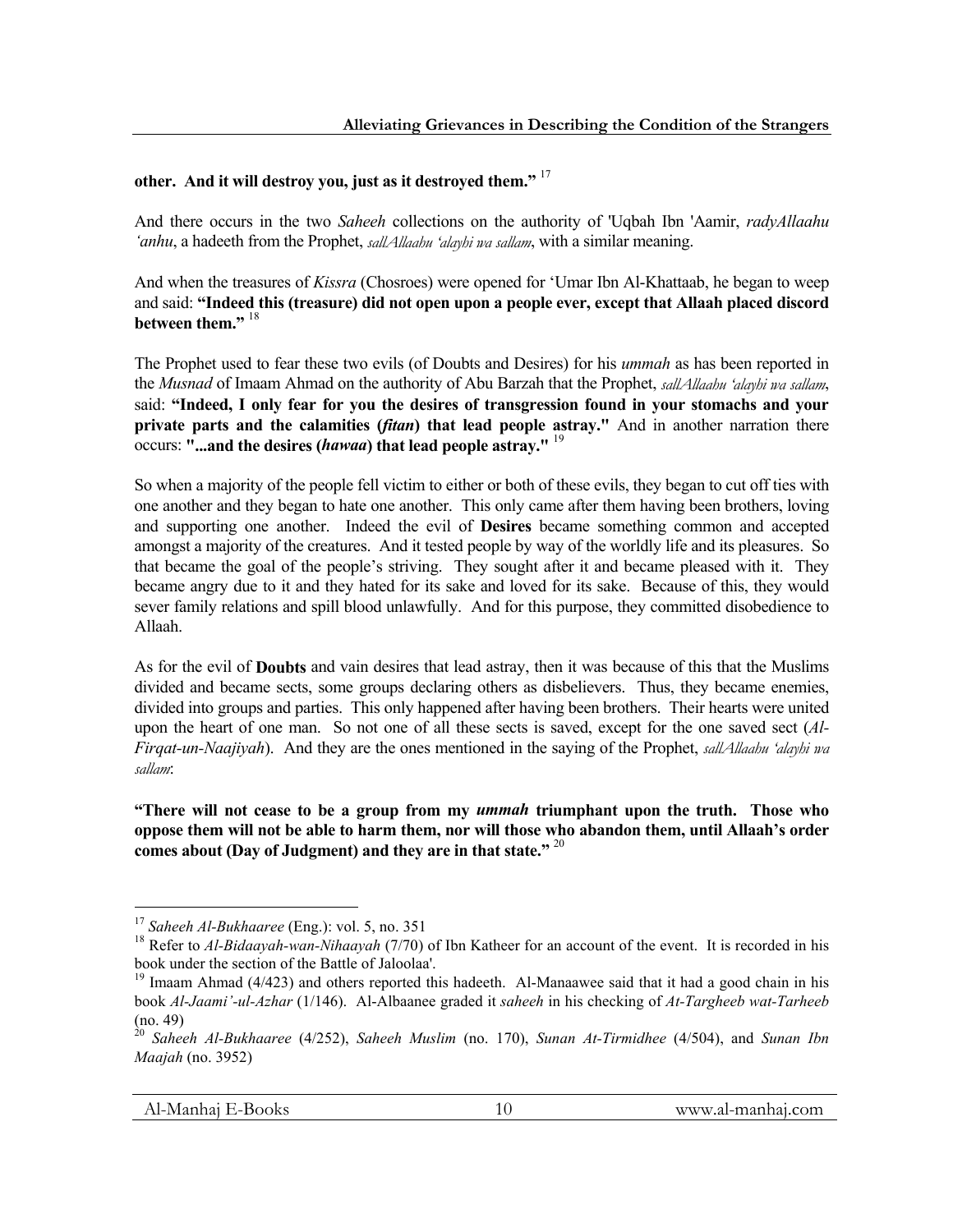# **other. And it will destroy you, just as it destroyed them."** <sup>17</sup>

And there occurs in the two *Saheeh* collections on the authority of 'Uqbah Ibn 'Aamir, *radyAllaahu 'anhu*, a hadeeth from the Prophet, *sallAllaahu 'alayhi wa sallam*, with a similar meaning.

And when the treasures of *Kissra* (Chosroes) were opened for 'Umar Ibn Al-Khattaab, he began to weep and said: **"Indeed this (treasure) did not open upon a people ever, except that Allaah placed discord between them."** 18

The Prophet used to fear these two evils (of Doubts and Desires) for his *ummah* as has been reported in the *Musnad* of Imaam Ahmad on the authority of Abu Barzah that the Prophet, *sallAllaahu 'alayhi wa sallam*, said: **"Indeed, I only fear for you the desires of transgression found in your stomachs and your private parts and the calamities (***fitan***) that lead people astray."** And in another narration there occurs: **"...and the desires (***hawaa***) that lead people astray."** <sup>19</sup>

So when a majority of the people fell victim to either or both of these evils, they began to cut off ties with one another and they began to hate one another. This only came after them having been brothers, loving and supporting one another. Indeed the evil of **Desires** became something common and accepted amongst a majority of the creatures. And it tested people by way of the worldly life and its pleasures. So that became the goal of the people's striving. They sought after it and became pleased with it. They became angry due to it and they hated for its sake and loved for its sake. Because of this, they would sever family relations and spill blood unlawfully. And for this purpose, they committed disobedience to Allaah.

As for the evil of **Doubts** and vain desires that lead astray, then it was because of this that the Muslims divided and became sects, some groups declaring others as disbelievers. Thus, they became enemies, divided into groups and parties. This only happened after having been brothers. Their hearts were united upon the heart of one man. So not one of all these sects is saved, except for the one saved sect (*Al-Firqat-un-Naajiyah*). And they are the ones mentioned in the saying of the Prophet, *sallAllaahu 'alayhi wa sallam*:

**"There will not cease to be a group from my** *ummah* **triumphant upon the truth. Those who oppose them will not be able to harm them, nor will those who abandon them, until Allaah's order comes about (Day of Judgment) and they are in that state."** <sup>20</sup>

<sup>&</sup>lt;sup>17</sup> Saheeh Al-Bukhaaree (Eng.): vol. 5, no. 351<br><sup>18</sup> Refer to *Al-Bidaayah-wan-Nihaayah* (7/70) of Ibn Katheer for an account of the event. It is recorded in his book under the section of the Battle of Jaloolaa'.

<sup>&</sup>lt;sup>19</sup> Imaam Ahmad (4/423) and others reported this hadeeth. Al-Manaawee said that it had a good chain in his book *Al-Jaami'-ul-Azhar* (1/146). Al-Albaanee graded it *saheeh* in his checking of *At-Targheeb wat-Tarheeb*  (no. 49)

<sup>20</sup> *Saheeh Al-Bukhaaree* (4/252), *Saheeh Muslim* (no. 170), *Sunan At-Tirmidhee* (4/504), and *Sunan Ibn Maajah* (no. 3952)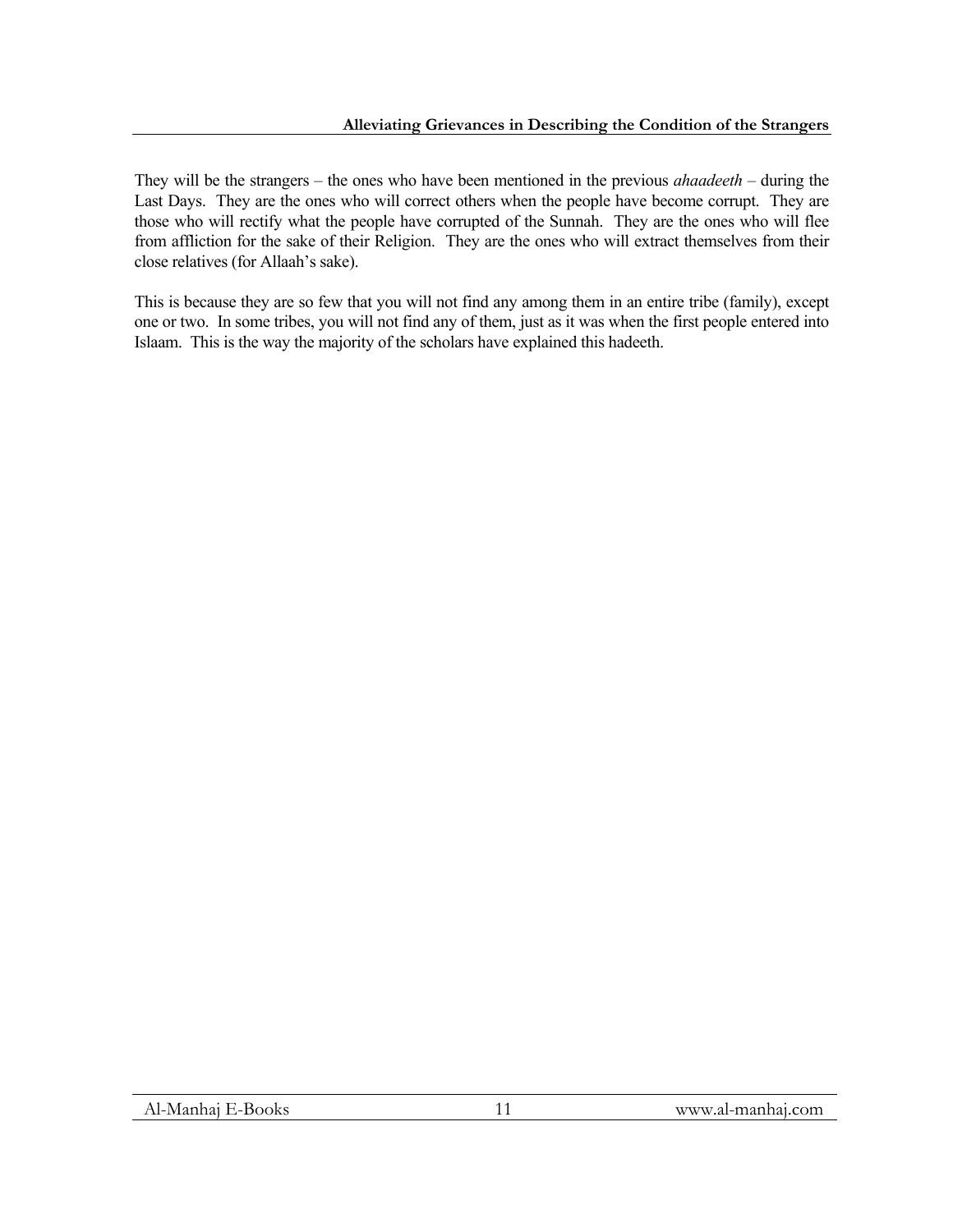They will be the strangers – the ones who have been mentioned in the previous *ahaadeeth* – during the Last Days. They are the ones who will correct others when the people have become corrupt. They are those who will rectify what the people have corrupted of the Sunnah. They are the ones who will flee from affliction for the sake of their Religion.They are the ones who will extract themselves from their close relatives (for Allaah's sake).

This is because they are so few that you will not find any among them in an entire tribe (family), except one or two. In some tribes, you will not find any of them, just as it was when the first people entered into Islaam. This is the way the majority of the scholars have explained this hadeeth.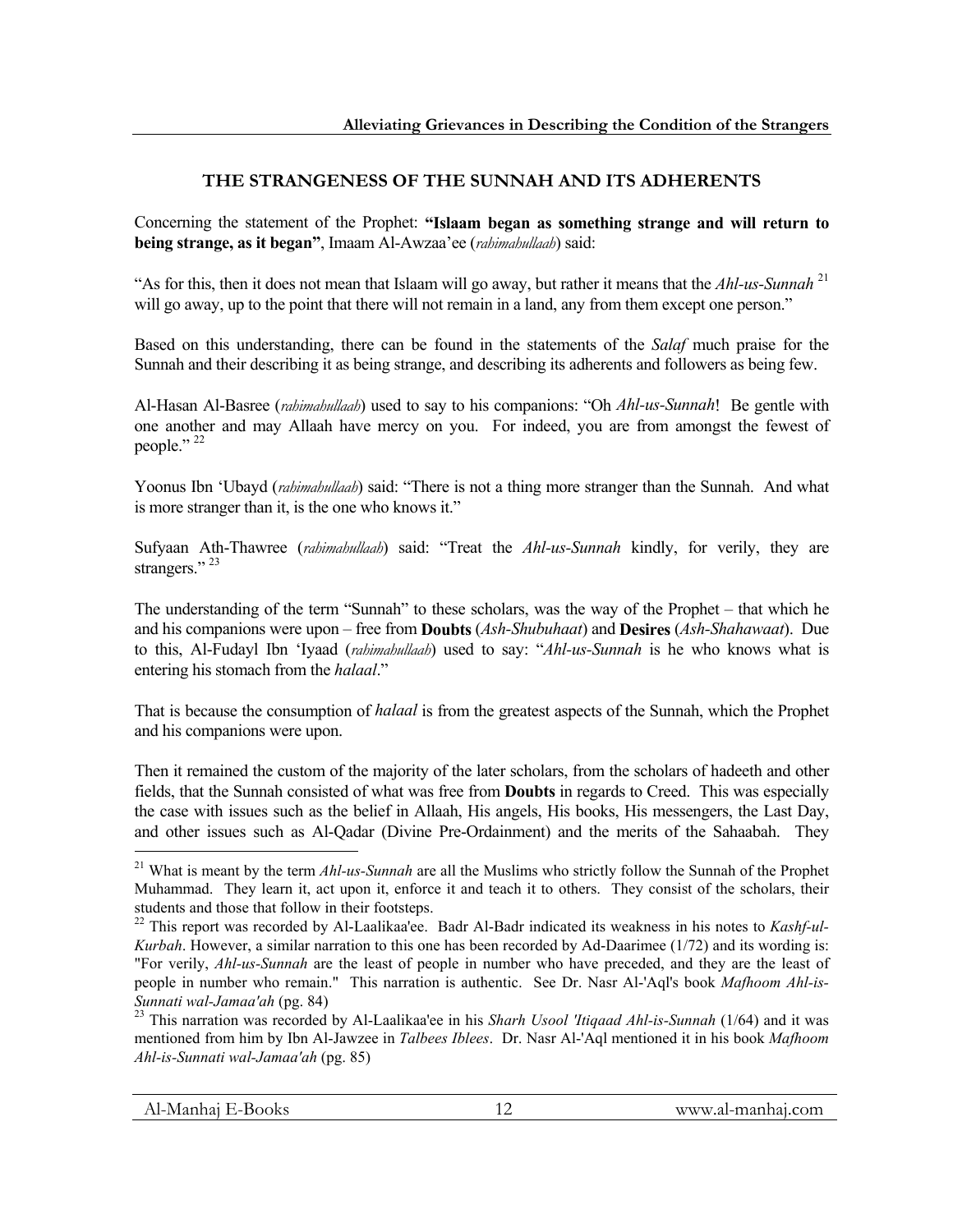# **THE STRANGENESS OF THE SUNNAH AND ITS ADHERENTS**

Concerning the statement of the Prophet: **"Islaam began as something strange and will return to being strange, as it began"**, Imaam Al-Awzaa'ee (*rahimahullaah*) said:

"As for this, then it does not mean that Islaam will go away, but rather it means that the *Ahl-us-Sunnah* <sup>21</sup> will go away, up to the point that there will not remain in a land, any from them except one person."

Based on this understanding, there can be found in the statements of the *Salaf* much praise for the Sunnah and their describing it as being strange, and describing its adherents and followers as being few.

Al-Hasan Al-Basree (*rahimahullaah*) used to say to his companions: "Oh *Ahl-us-Sunnah*! Be gentle with one another and may Allaah have mercy on you. For indeed, you are from amongst the fewest of people."<sup>22</sup>

Yoonus Ibn 'Ubayd (*rahimahullaah*) said: "There is not a thing more stranger than the Sunnah. And what is more stranger than it, is the one who knows it."

Sufyaan Ath-Thawree (*rahimahullaah*) said: "Treat the *Ahl-us-Sunnah* kindly, for verily, they are strangers."<sup>23</sup>

The understanding of the term "Sunnah" to these scholars, was the way of the Prophet – that which he and his companions were upon – free from **Doubts** (*Ash-Shubuhaat*) and **Desires** (*Ash-Shahawaat*). Due to this, Al-Fudayl Ibn 'Iyaad (*rahimahullaah*) used to say: "*Ahl-us-Sunnah* is he who knows what is entering his stomach from the *halaal*."

That is because the consumption of *halaal* is from the greatest aspects of the Sunnah, which the Prophet and his companions were upon.

Then it remained the custom of the majority of the later scholars, from the scholars of hadeeth and other fields, that the Sunnah consisted of what was free from **Doubts** in regards to Creed. This was especially the case with issues such as the belief in Allaah, His angels, His books, His messengers, the Last Day, and other issues such as Al-Qadar (Divine Pre-Ordainment) and the merits of the Sahaabah. They

<sup>21</sup> What is meant by the term *Ahl-us-Sunnah* are all the Muslims who strictly follow the Sunnah of the Prophet Muhammad. They learn it, act upon it, enforce it and teach it to others. They consist of the scholars, their students and those that follow in their footsteps.

<sup>22</sup> This report was recorded by Al-Laalikaa'ee. Badr Al-Badr indicated its weakness in his notes to *Kashf-ul-Kurbah*. However, a similar narration to this one has been recorded by Ad-Daarimee (1/72) and its wording is: "For verily, *Ahl-us-Sunnah* are the least of people in number who have preceded, and they are the least of people in number who remain." This narration is authentic. See Dr. Nasr Al-'Aql's book *Mafhoom Ahl-is-Sunnati wal-Jamaa'ah* (pg. 84) 23 This narration was recorded by Al-Laalikaa'ee in his *Sharh Usool 'Itiqaad Ahl-is-Sunnah* (1/64) and it was

mentioned from him by Ibn Al-Jawzee in *Talbees Iblees*. Dr. Nasr Al-'Aql mentioned it in his book *Mafhoom Ahl-is-Sunnati wal-Jamaa'ah* (pg. 85)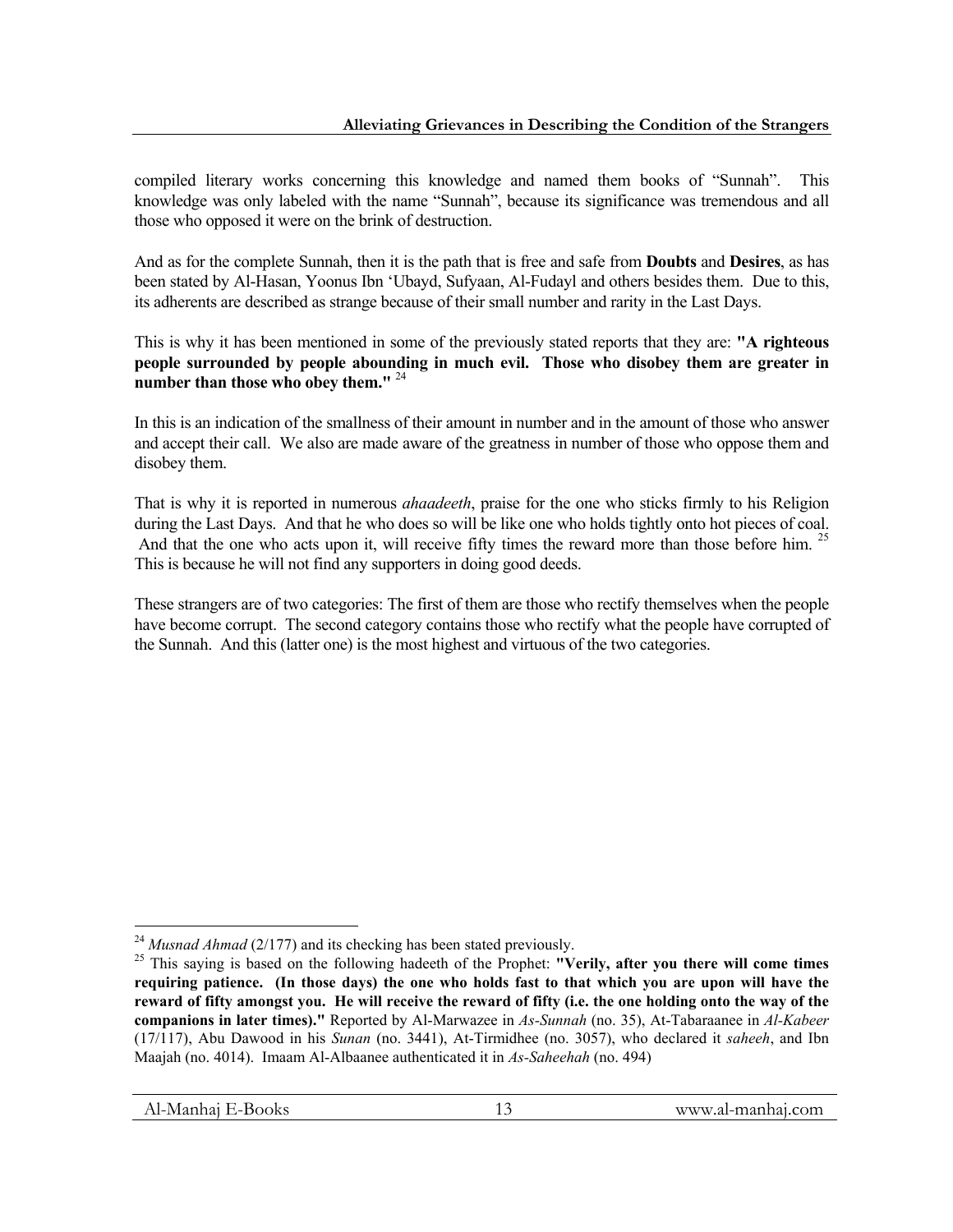compiled literary works concerning this knowledge and named them books of "Sunnah". This knowledge was only labeled with the name "Sunnah", because its significance was tremendous and all those who opposed it were on the brink of destruction.

And as for the complete Sunnah, then it is the path that is free and safe from **Doubts** and **Desires**, as has been stated by Al-Hasan, Yoonus Ibn 'Ubayd, Sufyaan, Al-Fudayl and others besides them. Due to this, its adherents are described as strange because of their small number and rarity in the Last Days.

This is why it has been mentioned in some of the previously stated reports that they are: **"A righteous people surrounded by people abounding in much evil. Those who disobey them are greater in number than those who obey them."** <sup>24</sup>

In this is an indication of the smallness of their amount in number and in the amount of those who answer and accept their call. We also are made aware of the greatness in number of those who oppose them and disobey them.

That is why it is reported in numerous *ahaadeeth*, praise for the one who sticks firmly to his Religion during the Last Days. And that he who does so will be like one who holds tightly onto hot pieces of coal. And that the one who acts upon it, will receive fifty times the reward more than those before him.<sup>25</sup> This is because he will not find any supporters in doing good deeds.

These strangers are of two categories: The first of them are those who rectify themselves when the people have become corrupt. The second category contains those who rectify what the people have corrupted of the Sunnah. And this (latter one) is the most highest and virtuous of the two categories.

j

<sup>&</sup>lt;sup>24</sup> Musnad Ahmad (2/177) and its checking has been stated previously.

<sup>&</sup>lt;sup>25</sup> This saying is based on the following hadeeth of the Prophet: **"Verily, after you there will come times requiring patience. (In those days) the one who holds fast to that which you are upon will have the reward of fifty amongst you. He will receive the reward of fifty (i.e. the one holding onto the way of the companions in later times)."** Reported by Al-Marwazee in *As-Sunnah* (no. 35), At-Tabaraanee in *Al-Kabeer*  (17/117), Abu Dawood in his *Sunan* (no. 3441), At-Tirmidhee (no. 3057), who declared it *saheeh*, and Ibn Maajah (no. 4014). Imaam Al-Albaanee authenticated it in *As-Saheehah* (no. 494)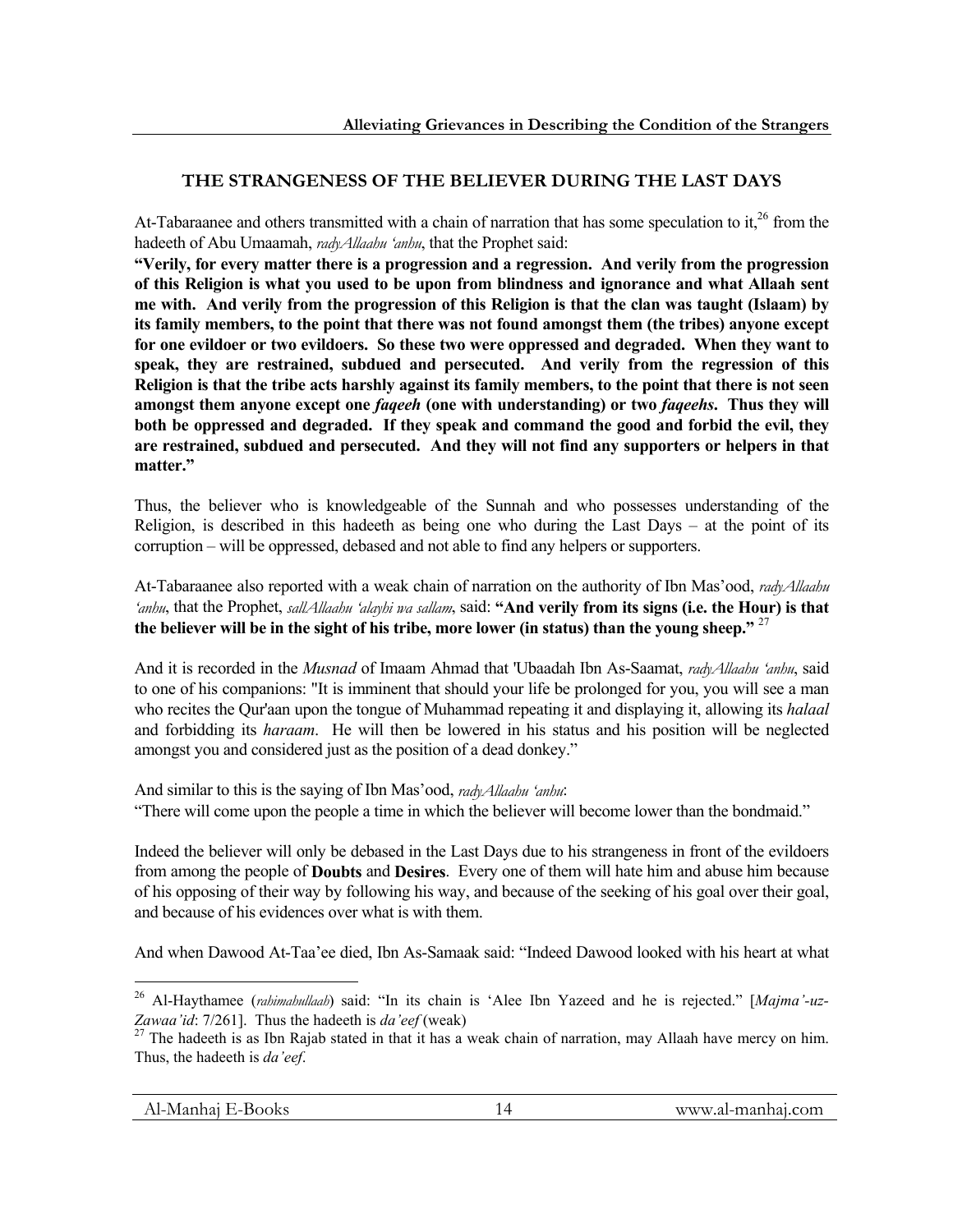# **THE STRANGENESS OF THE BELIEVER DURING THE LAST DAYS**

At-Tabaraanee and others transmitted with a chain of narration that has some speculation to it,<sup>26</sup> from the hadeeth of Abu Umaamah, *radyAllaahu 'anhu*, that the Prophet said:

**"Verily, for every matter there is a progression and a regression. And verily from the progression of this Religion is what you used to be upon from blindness and ignorance and what Allaah sent me with. And verily from the progression of this Religion is that the clan was taught (Islaam) by its family members, to the point that there was not found amongst them (the tribes) anyone except for one evildoer or two evildoers. So these two were oppressed and degraded. When they want to speak, they are restrained, subdued and persecuted. And verily from the regression of this Religion is that the tribe acts harshly against its family members, to the point that there is not seen amongst them anyone except one** *faqeeh* **(one with understanding) or two** *faqeehs***. Thus they will both be oppressed and degraded. If they speak and command the good and forbid the evil, they are restrained, subdued and persecuted. And they will not find any supporters or helpers in that matter."**

Thus, the believer who is knowledgeable of the Sunnah and who possesses understanding of the Religion, is described in this hadeeth as being one who during the Last Days – at the point of its corruption – will be oppressed, debased and not able to find any helpers or supporters.

At-Tabaraanee also reported with a weak chain of narration on the authority of Ibn Mas'ood, *radyAllaahu 'anhu*, that the Prophet, *sallAllaahu 'alayhi wa sallam*, said: **"And verily from its signs (i.e. the Hour) is that the believer will be in the sight of his tribe, more lower (in status) than the young sheep."** <sup>27</sup>

And it is recorded in the *Musnad* of Imaam Ahmad that 'Ubaadah Ibn As-Saamat, *radyAllaahu 'anhu*, said to one of his companions: "It is imminent that should your life be prolonged for you, you will see a man who recites the Qur'aan upon the tongue of Muhammad repeating it and displaying it, allowing its *halaal* and forbidding its *haraam*. He will then be lowered in his status and his position will be neglected amongst you and considered just as the position of a dead donkey."

And similar to this is the saying of Ibn Mas'ood, *radyAllaahu 'anhu*:

"There will come upon the people a time in which the believer will become lower than the bondmaid."

Indeed the believer will only be debased in the Last Days due to his strangeness in front of the evildoers from among the people of **Doubts** and **Desires**. Every one of them will hate him and abuse him because of his opposing of their way by following his way, and because of the seeking of his goal over their goal, and because of his evidences over what is with them.

And when Dawood At-Taa'ee died, Ibn As-Samaak said: "Indeed Dawood looked with his heart at what

<sup>26</sup> Al-Haythamee (*rahimahullaah*) said: "In its chain is 'Alee Ibn Yazeed and he is rejected." [*Majma'-uz-Zawaa'id*: 7/261]. Thus the hadeeth is *da'eef* (weak) 27 The hadeeth is as Ibn Rajab stated in that it has a weak chain of narration, may Allaah have mercy on him.

Thus, the hadeeth is *da'eef*.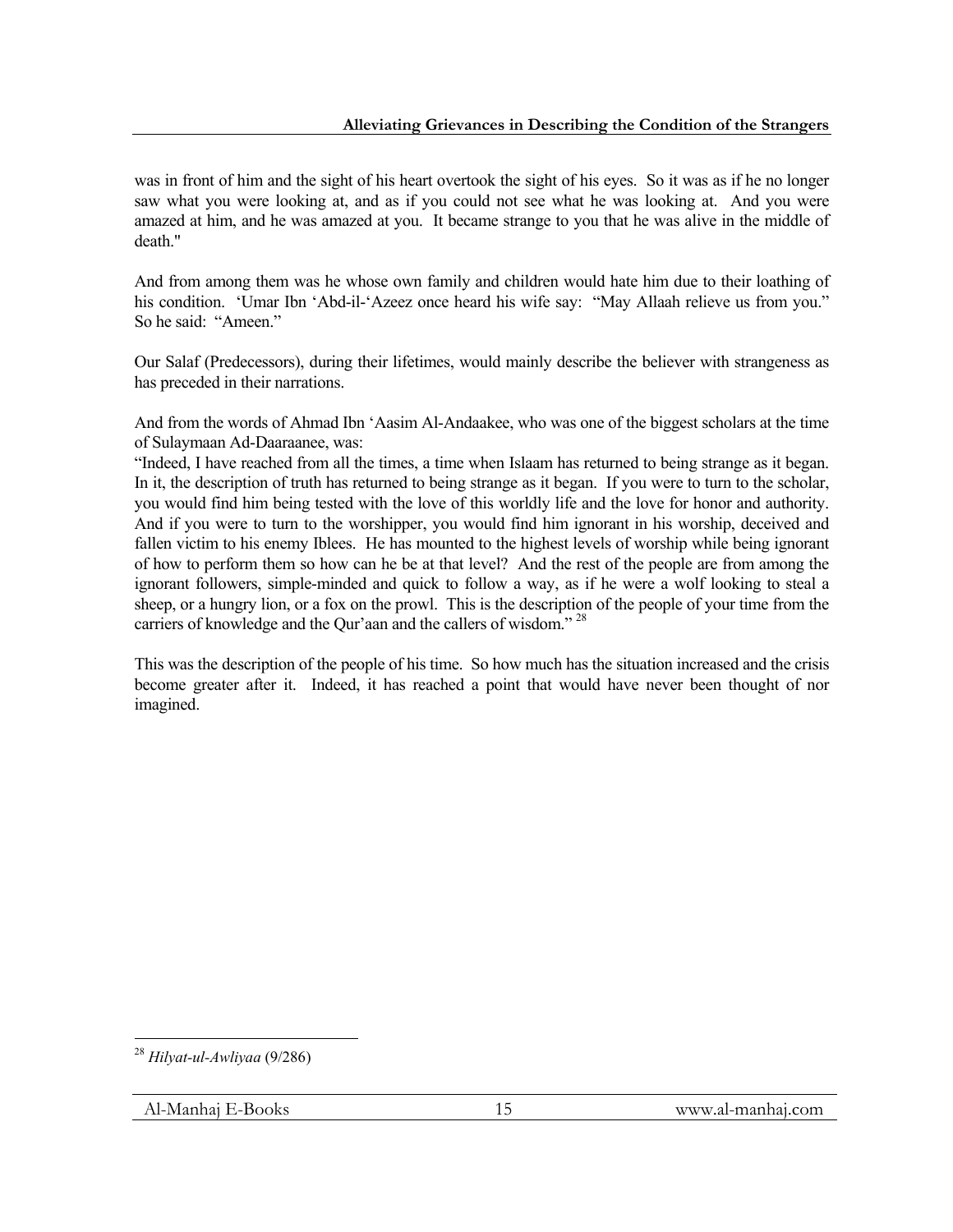was in front of him and the sight of his heart overtook the sight of his eyes. So it was as if he no longer saw what you were looking at, and as if you could not see what he was looking at. And you were amazed at him, and he was amazed at you. It became strange to you that he was alive in the middle of death."

And from among them was he whose own family and children would hate him due to their loathing of his condition. 'Umar Ibn 'Abd-il-'Azeez once heard his wife say: "May Allaah relieve us from you." So he said: "Ameen."

Our Salaf (Predecessors), during their lifetimes, would mainly describe the believer with strangeness as has preceded in their narrations.

And from the words of Ahmad Ibn 'Aasim Al-Andaakee, who was one of the biggest scholars at the time of Sulaymaan Ad-Daaraanee, was:

"Indeed, I have reached from all the times, a time when Islaam has returned to being strange as it began. In it, the description of truth has returned to being strange as it began. If you were to turn to the scholar, you would find him being tested with the love of this worldly life and the love for honor and authority. And if you were to turn to the worshipper, you would find him ignorant in his worship, deceived and fallen victim to his enemy Iblees. He has mounted to the highest levels of worship while being ignorant of how to perform them so how can he be at that level? And the rest of the people are from among the ignorant followers, simple-minded and quick to follow a way, as if he were a wolf looking to steal a sheep, or a hungry lion, or a fox on the prowl. This is the description of the people of your time from the carriers of knowledge and the Qur'aan and the callers of wisdom."<sup>28</sup>

This was the description of the people of his time. So how much has the situation increased and the crisis become greater after it. Indeed, it has reached a point that would have never been thought of nor imagined.

<sup>1</sup> <sup>28</sup> *Hilyat-ul-Awliyaa* (9/286)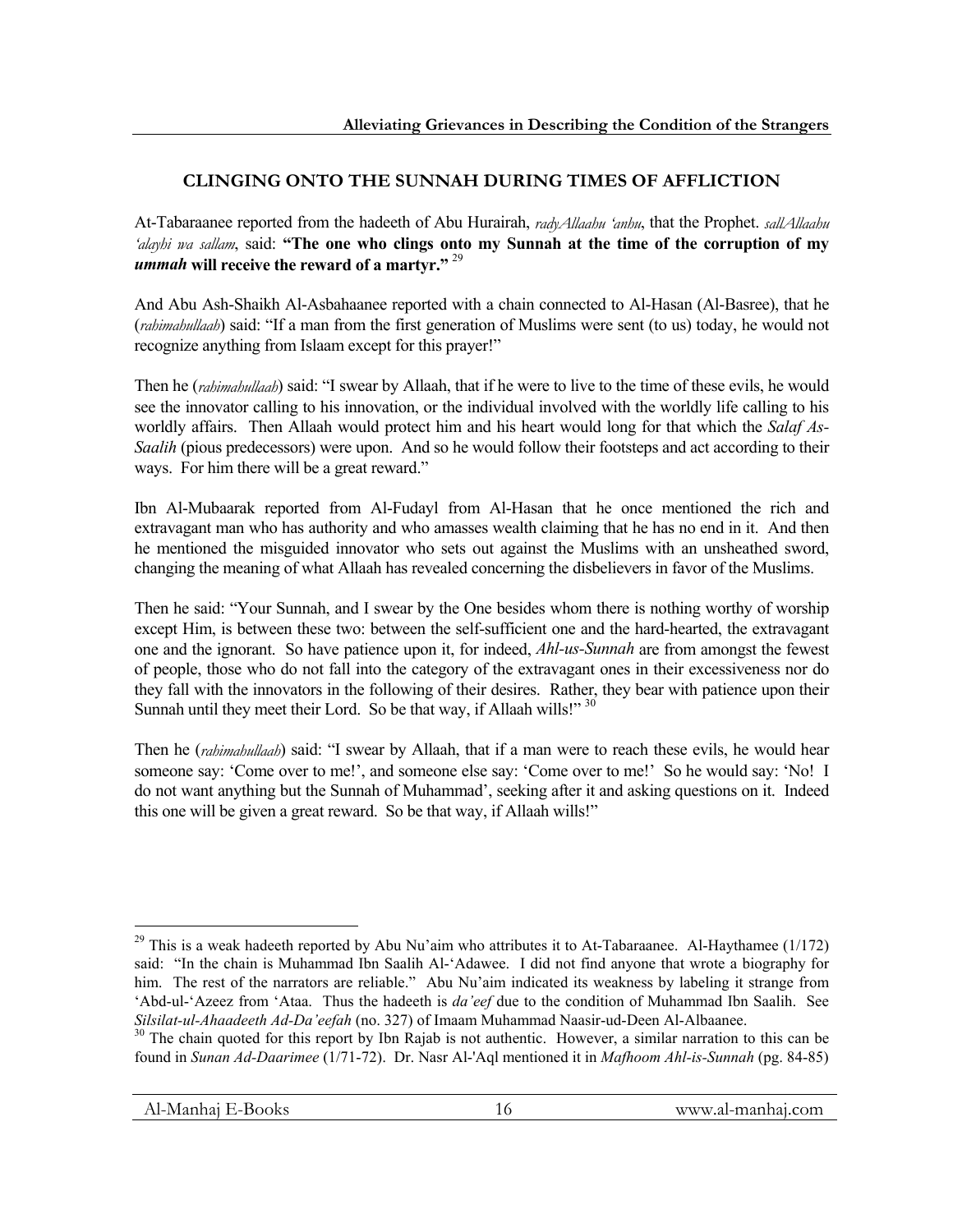# **CLINGING ONTO THE SUNNAH DURING TIMES OF AFFLICTION**

At-Tabaraanee reported from the hadeeth of Abu Hurairah, *radyAllaahu 'anhu*, that the Prophet. *sallAllaahu 'alayhi wa sallam*, said: **"The one who clings onto my Sunnah at the time of the corruption of my**  *ummah* **will receive the reward of a martyr."** <sup>29</sup>

And Abu Ash-Shaikh Al-Asbahaanee reported with a chain connected to Al-Hasan (Al-Basree), that he (*rahimahullaah*) said: "If a man from the first generation of Muslims were sent (to us) today, he would not recognize anything from Islaam except for this prayer!"

Then he (*rahimahullaah*) said: "I swear by Allaah, that if he were to live to the time of these evils, he would see the innovator calling to his innovation, or the individual involved with the worldly life calling to his worldly affairs. Then Allaah would protect him and his heart would long for that which the *Salaf As-Saalih* (pious predecessors) were upon. And so he would follow their footsteps and act according to their ways. For him there will be a great reward."

Ibn Al-Mubaarak reported from Al-Fudayl from Al-Hasan that he once mentioned the rich and extravagant man who has authority and who amasses wealth claiming that he has no end in it. And then he mentioned the misguided innovator who sets out against the Muslims with an unsheathed sword, changing the meaning of what Allaah has revealed concerning the disbelievers in favor of the Muslims.

Then he said: "Your Sunnah, and I swear by the One besides whom there is nothing worthy of worship except Him, is between these two: between the self-sufficient one and the hard-hearted, the extravagant one and the ignorant. So have patience upon it, for indeed, *Ahl-us-Sunnah* are from amongst the fewest of people, those who do not fall into the category of the extravagant ones in their excessiveness nor do they fall with the innovators in the following of their desires. Rather, they bear with patience upon their Sunnah until they meet their Lord. So be that way, if Allaah wills!" 30

Then he (*rahimahullaah*) said: "I swear by Allaah, that if a man were to reach these evils, he would hear someone say: 'Come over to me!', and someone else say: 'Come over to me!' So he would say: 'No! I do not want anything but the Sunnah of Muhammad', seeking after it and asking questions on it. Indeed this one will be given a great reward. So be that way, if Allaah wills!"

 $29$  This is a weak hadeeth reported by Abu Nu'aim who attributes it to At-Tabaraanee. Al-Haythamee (1/172) said: "In the chain is Muhammad Ibn Saalih Al-'Adawee. I did not find anyone that wrote a biography for him. The rest of the narrators are reliable." Abu Nu'aim indicated its weakness by labeling it strange from 'Abd-ul-'Azeez from 'Ataa. Thus the hadeeth is *da'eef* due to the condition of Muhammad Ibn Saalih. See *Silsilat-ul-Ahaadeeth Ad-Da'eefah* (no. 327) of Imaam Muhammad Naasir-ud-Deen Al-Albaanee.<br><sup>30</sup> The chain quoted for this report by Ibn Rajab is not authentic. However, a similar narration to this can be

found in *Sunan Ad-Daarimee* (1/71-72). Dr. Nasr Al-'Aql mentioned it in *Mafhoom Ahl-is-Sunnah* (pg. 84-85)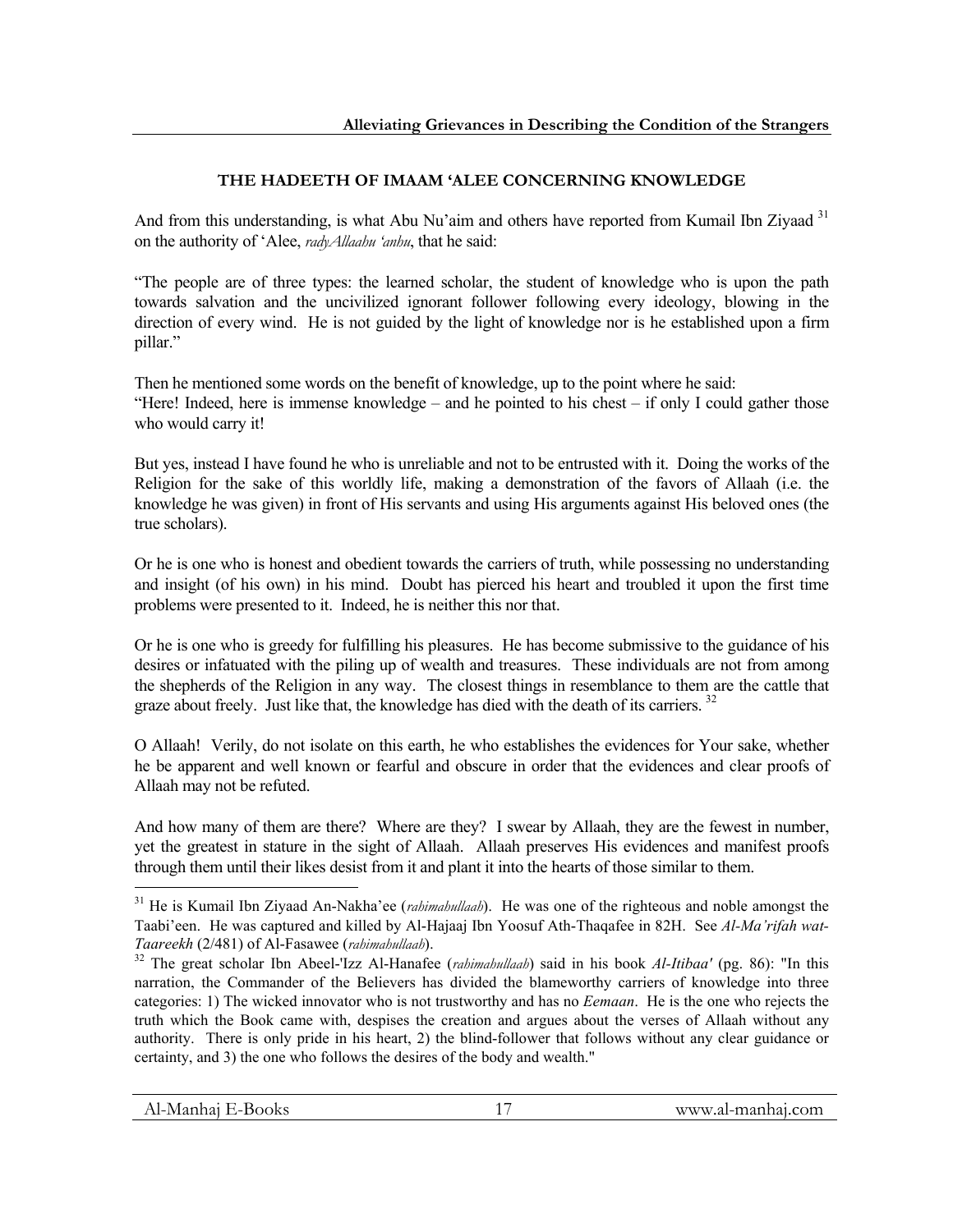# **THE HADEETH OF IMAAM 'ALEE CONCERNING KNOWLEDGE**

And from this understanding, is what Abu Nu'aim and others have reported from Kumail Ibn Ziyaad <sup>31</sup> on the authority of 'Alee, *radyAllaahu 'anhu*, that he said:

"The people are of three types: the learned scholar, the student of knowledge who is upon the path towards salvation and the uncivilized ignorant follower following every ideology, blowing in the direction of every wind. He is not guided by the light of knowledge nor is he established upon a firm pillar."

Then he mentioned some words on the benefit of knowledge, up to the point where he said: "Here! Indeed, here is immense knowledge – and he pointed to his chest – if only I could gather those who would carry it!

But yes, instead I have found he who is unreliable and not to be entrusted with it. Doing the works of the Religion for the sake of this worldly life, making a demonstration of the favors of Allaah (i.e. the knowledge he was given) in front of His servants and using His arguments against His beloved ones (the true scholars).

Or he is one who is honest and obedient towards the carriers of truth, while possessing no understanding and insight (of his own) in his mind. Doubt has pierced his heart and troubled it upon the first time problems were presented to it. Indeed, he is neither this nor that.

Or he is one who is greedy for fulfilling his pleasures. He has become submissive to the guidance of his desires or infatuated with the piling up of wealth and treasures. These individuals are not from among the shepherds of the Religion in any way. The closest things in resemblance to them are the cattle that graze about freely. Just like that, the knowledge has died with the death of its carriers.<sup>32</sup>

O Allaah! Verily, do not isolate on this earth, he who establishes the evidences for Your sake, whether he be apparent and well known or fearful and obscure in order that the evidences and clear proofs of Allaah may not be refuted.

And how many of them are there? Where are they? I swear by Allaah, they are the fewest in number, yet the greatest in stature in the sight of Allaah. Allaah preserves His evidences and manifest proofs through them until their likes desist from it and plant it into the hearts of those similar to them.

<sup>31</sup> He is Kumail Ibn Ziyaad An-Nakha'ee (*rahimahullaah*). He was one of the righteous and noble amongst the Taabi'een. He was captured and killed by Al-Hajaaj Ibn Yoosuf Ath-Thaqafee in 82H. See *Al-Ma'rifah wat-Taareekh* (2/481) of Al-Fasawee (*rahimahullaah*). 32 The great scholar Ibn Abeel-'Izz Al-Hanafee (*rahimahullaah*) said in his book *Al-Itibaa'* (pg. 86): "In this

narration, the Commander of the Believers has divided the blameworthy carriers of knowledge into three categories: 1) The wicked innovator who is not trustworthy and has no *Eemaan*. He is the one who rejects the truth which the Book came with, despises the creation and argues about the verses of Allaah without any authority. There is only pride in his heart, 2) the blind-follower that follows without any clear guidance or certainty, and 3) the one who follows the desires of the body and wealth."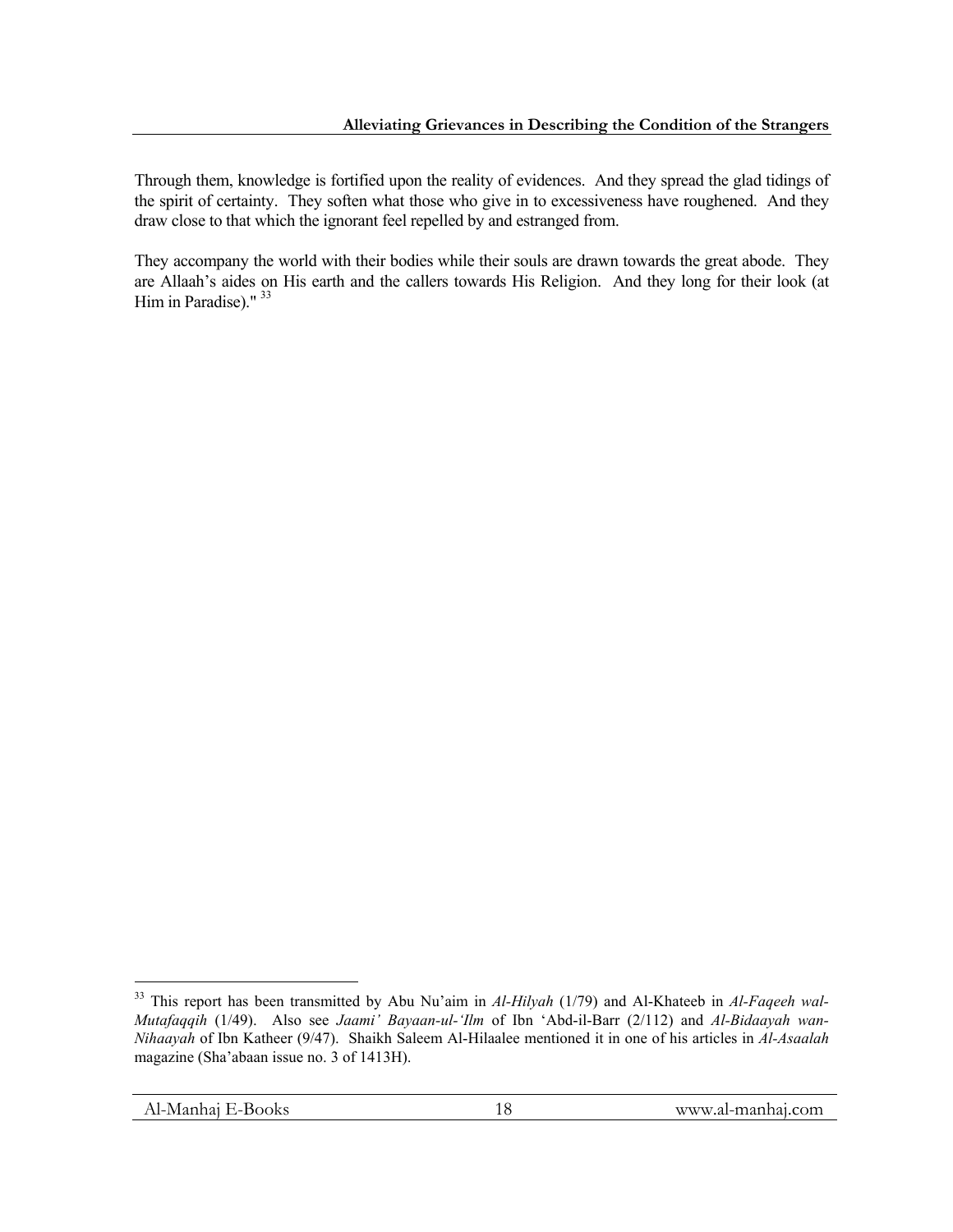Through them, knowledge is fortified upon the reality of evidences. And they spread the glad tidings of the spirit of certainty. They soften what those who give in to excessiveness have roughened. And they draw close to that which the ignorant feel repelled by and estranged from.

They accompany the world with their bodies while their souls are drawn towards the great abode. They are Allaah's aides on His earth and the callers towards His Religion. And they long for their look (at Him in Paradise)."<sup>33</sup>

<sup>&</sup>lt;sup>33</sup> This report has been transmitted by Abu Nu'aim in *Al-Hilyah* (1/79) and Al-Khateeb in *Al-Faqeeh wal-Mutafaqqih* (1/49). Also see *Jaami' Bayaan-ul-'Ilm* of Ibn 'Abd-il-Barr (2/112) and *Al-Bidaayah wan-Nihaayah* of Ibn Katheer (9/47). Shaikh Saleem Al-Hilaalee mentioned it in one of his articles in *Al-Asaalah*  magazine (Sha'abaan issue no. 3 of 1413H).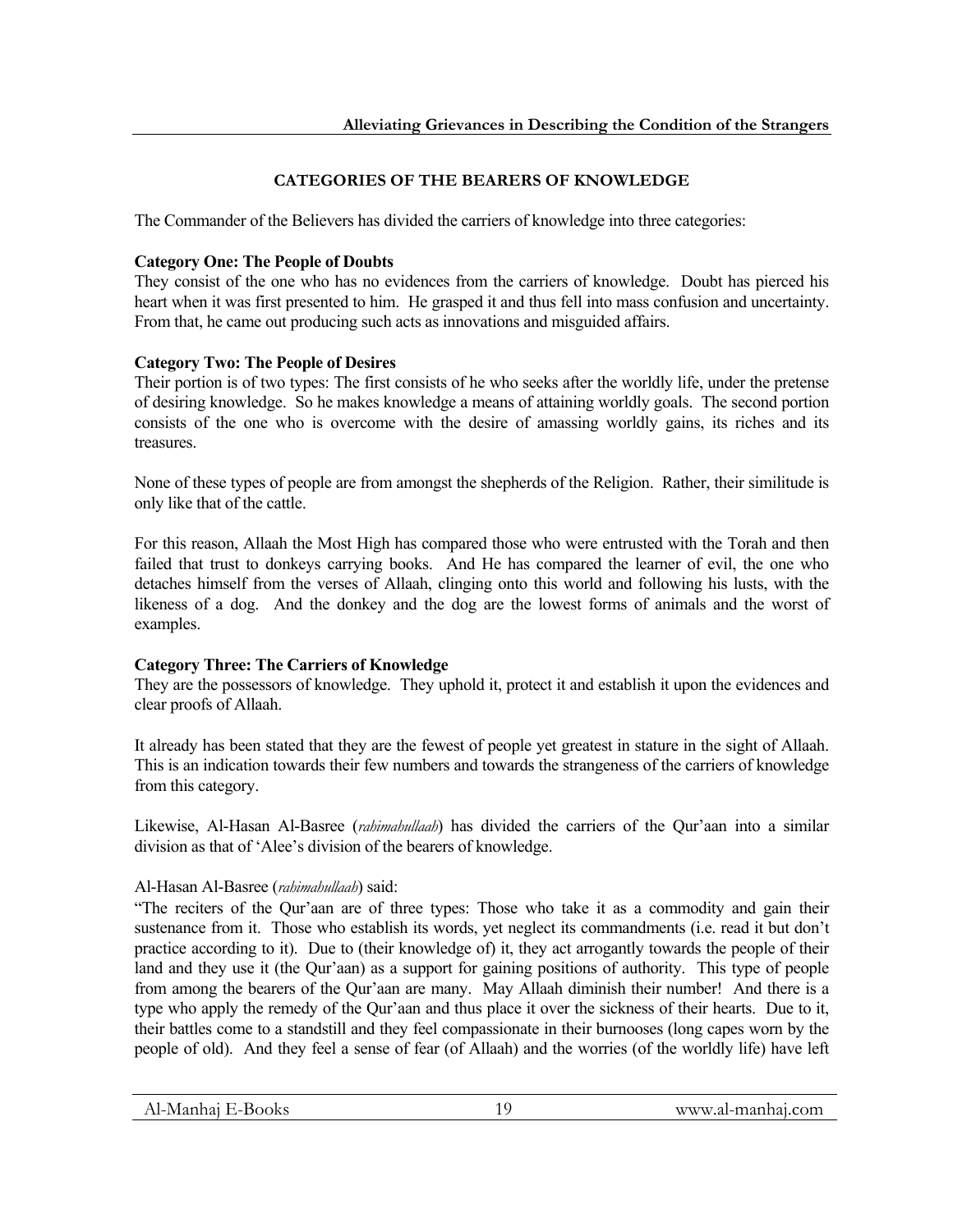# **CATEGORIES OF THE BEARERS OF KNOWLEDGE**

The Commander of the Believers has divided the carriers of knowledge into three categories:

#### **Category One: The People of Doubts**

They consist of the one who has no evidences from the carriers of knowledge. Doubt has pierced his heart when it was first presented to him. He grasped it and thus fell into mass confusion and uncertainty. From that, he came out producing such acts as innovations and misguided affairs.

#### **Category Two: The People of Desires**

Their portion is of two types: The first consists of he who seeks after the worldly life, under the pretense of desiring knowledge. So he makes knowledge a means of attaining worldly goals. The second portion consists of the one who is overcome with the desire of amassing worldly gains, its riches and its treasures.

None of these types of people are from amongst the shepherds of the Religion. Rather, their similitude is only like that of the cattle.

For this reason, Allaah the Most High has compared those who were entrusted with the Torah and then failed that trust to donkeys carrying books. And He has compared the learner of evil, the one who detaches himself from the verses of Allaah, clinging onto this world and following his lusts, with the likeness of a dog. And the donkey and the dog are the lowest forms of animals and the worst of examples.

### **Category Three: The Carriers of Knowledge**

They are the possessors of knowledge. They uphold it, protect it and establish it upon the evidences and clear proofs of Allaah.

It already has been stated that they are the fewest of people yet greatest in stature in the sight of Allaah. This is an indication towards their few numbers and towards the strangeness of the carriers of knowledge from this category.

Likewise, Al-Hasan Al-Basree (*rahimahullaah*) has divided the carriers of the Qur'aan into a similar division as that of 'Alee's division of the bearers of knowledge.

### Al-Hasan Al-Basree (*rahimahullaah*) said:

"The reciters of the Qur'aan are of three types: Those who take it as a commodity and gain their sustenance from it. Those who establish its words, yet neglect its commandments (i.e. read it but don't practice according to it). Due to (their knowledge of) it, they act arrogantly towards the people of their land and they use it (the Qur'aan) as a support for gaining positions of authority. This type of people from among the bearers of the Qur'aan are many. May Allaah diminish their number! And there is a type who apply the remedy of the Qur'aan and thus place it over the sickness of their hearts. Due to it, their battles come to a standstill and they feel compassionate in their burnooses (long capes worn by the people of old). And they feel a sense of fear (of Allaah) and the worries (of the worldly life) have left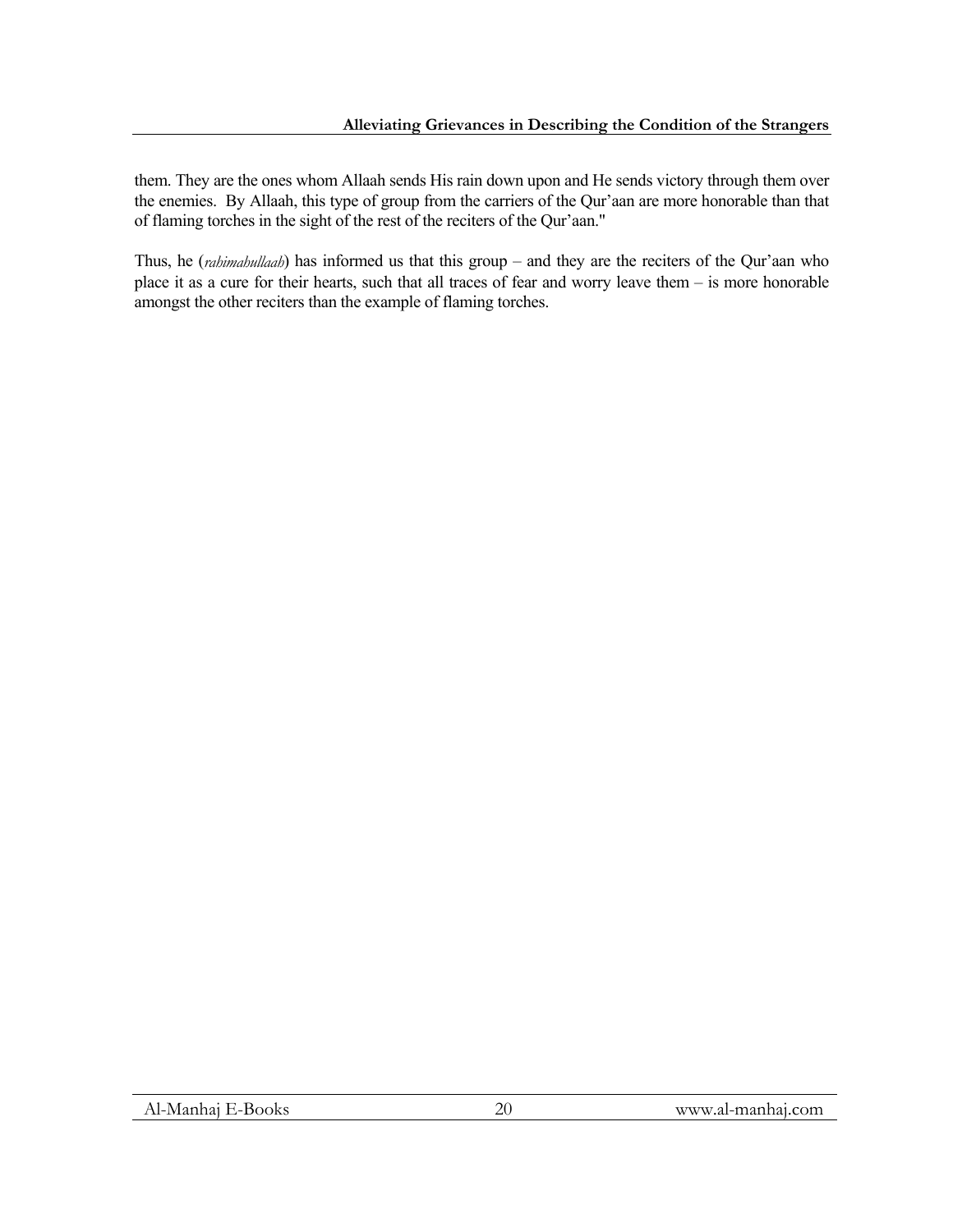them. They are the ones whom Allaah sends His rain down upon and He sends victory through them over the enemies. By Allaah, this type of group from the carriers of the Qur'aan are more honorable than that of flaming torches in the sight of the rest of the reciters of the Qur'aan."

Thus, he (*rahimahullaah*) has informed us that this group – and they are the reciters of the Qur'aan who place it as a cure for their hearts, such that all traces of fear and worry leave them – is more honorable amongst the other reciters than the example of flaming torches.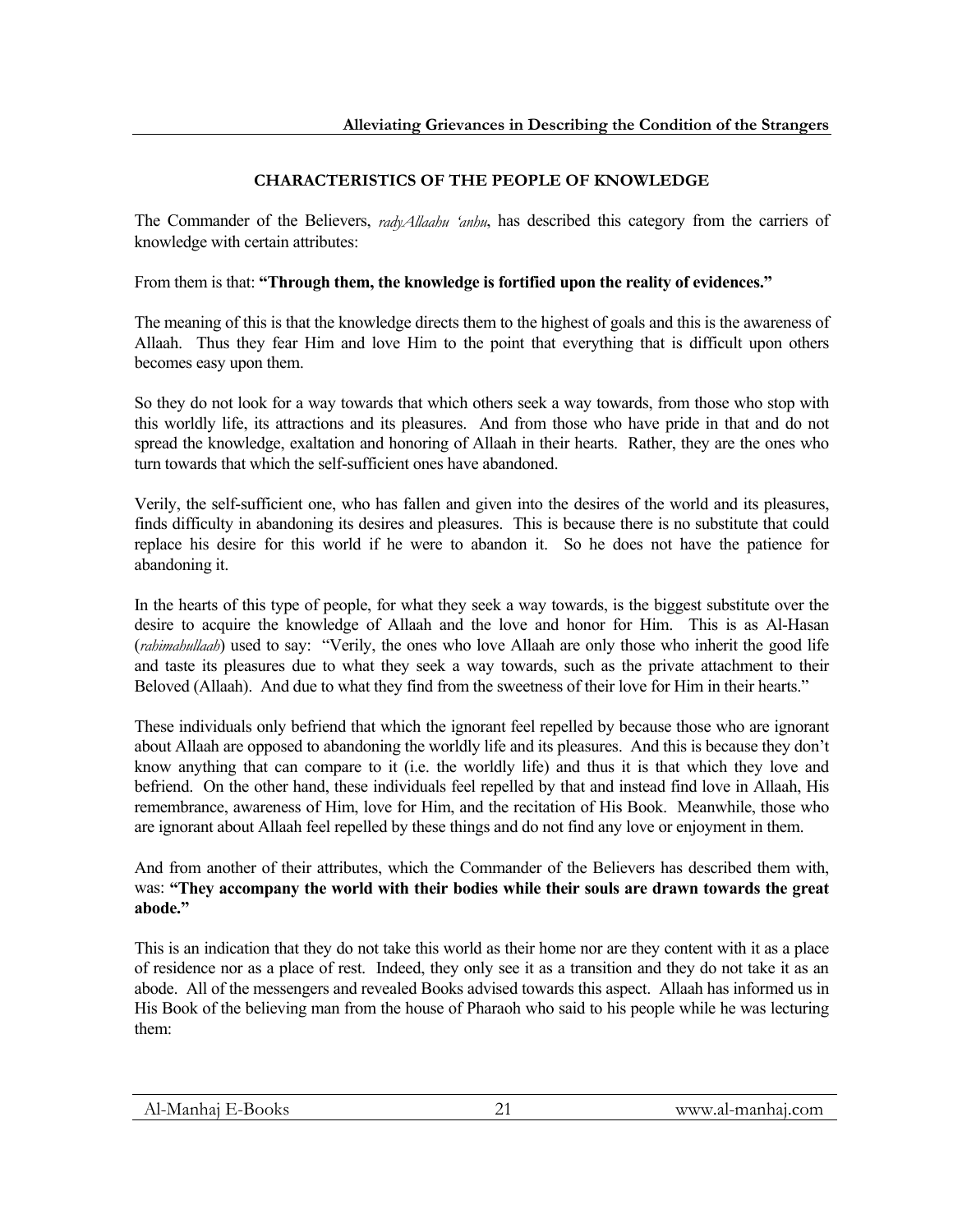# **CHARACTERISTICS OF THE PEOPLE OF KNOWLEDGE**

The Commander of the Believers, *radyAllaahu 'anhu*, has described this category from the carriers of knowledge with certain attributes:

From them is that: **"Through them, the knowledge is fortified upon the reality of evidences."**

The meaning of this is that the knowledge directs them to the highest of goals and this is the awareness of Allaah. Thus they fear Him and love Him to the point that everything that is difficult upon others becomes easy upon them.

So they do not look for a way towards that which others seek a way towards, from those who stop with this worldly life, its attractions and its pleasures. And from those who have pride in that and do not spread the knowledge, exaltation and honoring of Allaah in their hearts. Rather, they are the ones who turn towards that which the self-sufficient ones have abandoned.

Verily, the self-sufficient one, who has fallen and given into the desires of the world and its pleasures, finds difficulty in abandoning its desires and pleasures. This is because there is no substitute that could replace his desire for this world if he were to abandon it. So he does not have the patience for abandoning it.

In the hearts of this type of people, for what they seek a way towards, is the biggest substitute over the desire to acquire the knowledge of Allaah and the love and honor for Him. This is as Al-Hasan (*rahimahullaah*) used to say: "Verily, the ones who love Allaah are only those who inherit the good life and taste its pleasures due to what they seek a way towards, such as the private attachment to their Beloved (Allaah). And due to what they find from the sweetness of their love for Him in their hearts."

These individuals only befriend that which the ignorant feel repelled by because those who are ignorant about Allaah are opposed to abandoning the worldly life and its pleasures. And this is because they don't know anything that can compare to it (i.e. the worldly life) and thus it is that which they love and befriend. On the other hand, these individuals feel repelled by that and instead find love in Allaah, His remembrance, awareness of Him, love for Him, and the recitation of His Book. Meanwhile, those who are ignorant about Allaah feel repelled by these things and do not find any love or enjoyment in them.

And from another of their attributes, which the Commander of the Believers has described them with, was: **"They accompany the world with their bodies while their souls are drawn towards the great abode."**

This is an indication that they do not take this world as their home nor are they content with it as a place of residence nor as a place of rest. Indeed, they only see it as a transition and they do not take it as an abode. All of the messengers and revealed Books advised towards this aspect. Allaah has informed us in His Book of the believing man from the house of Pharaoh who said to his people while he was lecturing them: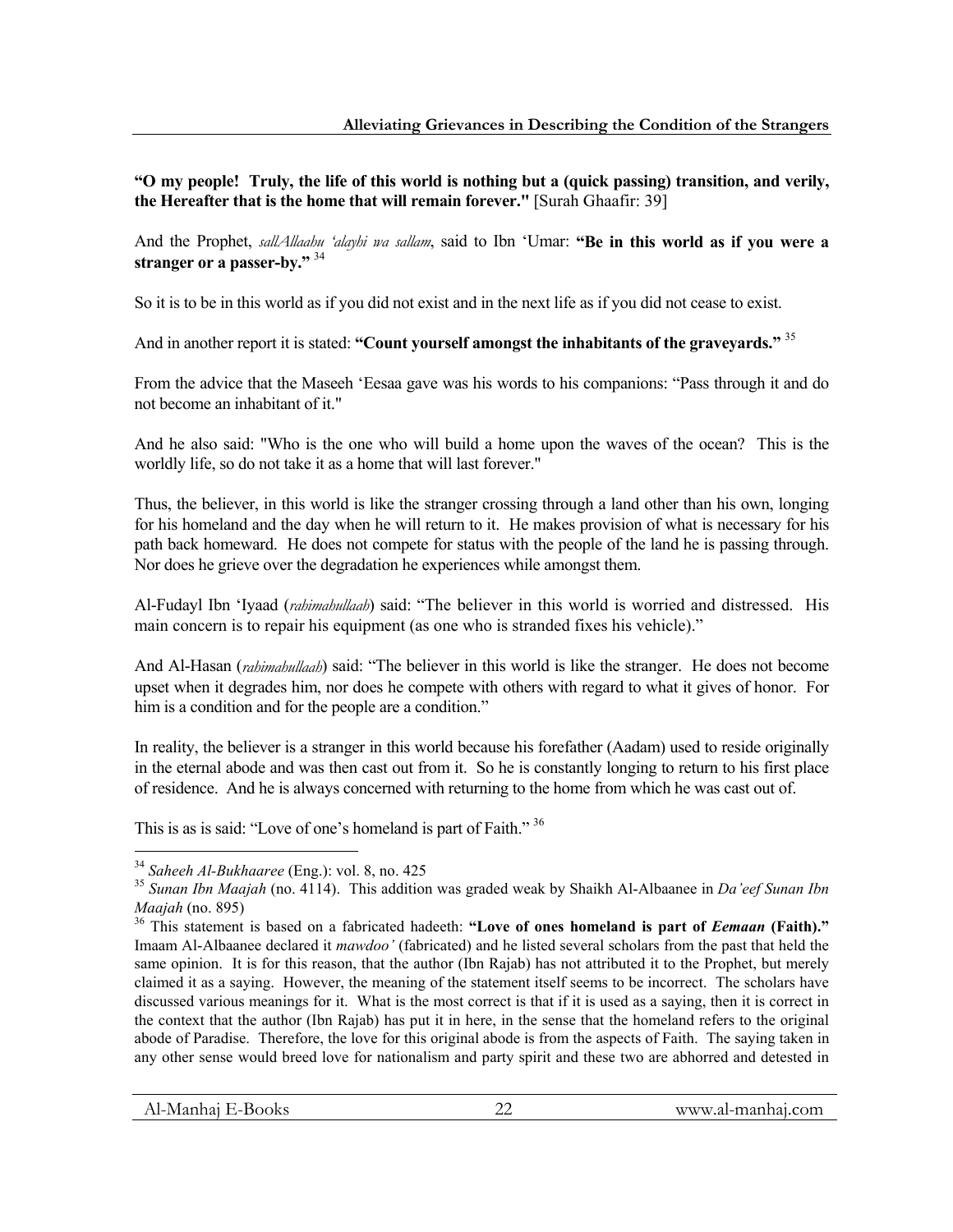**"O my people! Truly, the life of this world is nothing but a (quick passing) transition, and verily, the Hereafter that is the home that will remain forever."** [Surah Ghaafir: 39]

And the Prophet, *sallAllaahu 'alayhi wa sallam*, said to Ibn 'Umar: **"Be in this world as if you were a stranger or a passer-by."** <sup>34</sup>

So it is to be in this world as if you did not exist and in the next life as if you did not cease to exist.

And in another report it is stated: **"Count yourself amongst the inhabitants of the graveyards."** <sup>35</sup>

From the advice that the Maseeh 'Eesaa gave was his words to his companions: "Pass through it and do not become an inhabitant of it."

And he also said: "Who is the one who will build a home upon the waves of the ocean? This is the worldly life, so do not take it as a home that will last forever."

Thus, the believer, in this world is like the stranger crossing through a land other than his own, longing for his homeland and the day when he will return to it. He makes provision of what is necessary for his path back homeward. He does not compete for status with the people of the land he is passing through. Nor does he grieve over the degradation he experiences while amongst them.

Al-Fudayl Ibn 'Iyaad (*rahimahullaah*) said: "The believer in this world is worried and distressed. His main concern is to repair his equipment (as one who is stranded fixes his vehicle)."

And Al-Hasan (*rahimahullaah*) said: "The believer in this world is like the stranger. He does not become upset when it degrades him, nor does he compete with others with regard to what it gives of honor. For him is a condition and for the people are a condition."

In reality, the believer is a stranger in this world because his forefather (Aadam) used to reside originally in the eternal abode and was then cast out from it. So he is constantly longing to return to his first place of residence. And he is always concerned with returning to the home from which he was cast out of.

This is as is said: "Love of one's homeland is part of Faith."<sup>36</sup>

 $34$  Saheeh Al-Bukhaaree (Eng.): vol. 8, no. 425

<sup>&</sup>lt;sup>35</sup> Sunan Ibn Maajah (no. 4114). This addition was graded weak by Shaikh Al-Albaanee in *Da'eef Sunan Ibn Maajah* (no. 895)

<sup>&</sup>lt;sup>36</sup> This statement is based on a fabricated hadeeth: "Love of ones homeland is part of *Eemaan* (Faith)." Imaam Al-Albaanee declared it *mawdoo'* (fabricated) and he listed several scholars from the past that held the same opinion. It is for this reason, that the author (Ibn Rajab) has not attributed it to the Prophet, but merely claimed it as a saying. However, the meaning of the statement itself seems to be incorrect. The scholars have discussed various meanings for it. What is the most correct is that if it is used as a saying, then it is correct in the context that the author (Ibn Rajab) has put it in here, in the sense that the homeland refers to the original abode of Paradise. Therefore, the love for this original abode is from the aspects of Faith. The saying taken in any other sense would breed love for nationalism and party spirit and these two are abhorred and detested in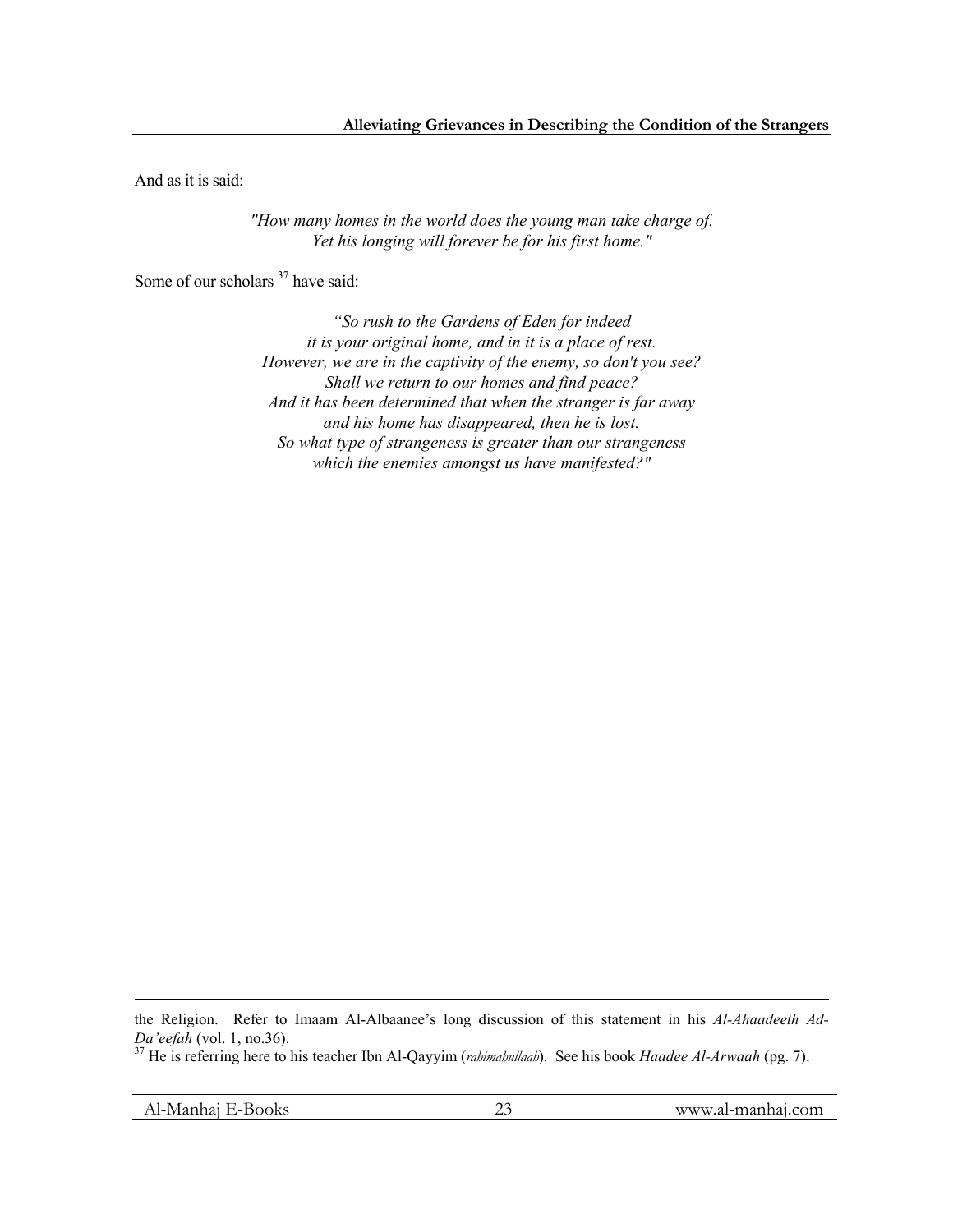And as it is said:

*"How many homes in the world does the young man take charge of. Yet his longing will forever be for his first home."*

Some of our scholars  $37$  have said:

*"So rush to the Gardens of Eden for indeed it is your original home, and in it is a place of rest. However, we are in the captivity of the enemy, so don't you see? Shall we return to our homes and find peace? And it has been determined that when the stranger is far away and his home has disappeared, then he is lost. So what type of strangeness is greater than our strangeness which the enemies amongst us have manifested?"* 

 $\overline{a}$ 

the Religion. Refer to Imaam Al-Albaanee's long discussion of this statement in his *Al-Ahaadeeth Ad-Da'eefah* (vol. 1, no.36). 37 He is referring here to his teacher Ibn Al-Qayyim (*rahimahullaah*). See his book *Haadee Al-Arwaah* (pg. 7).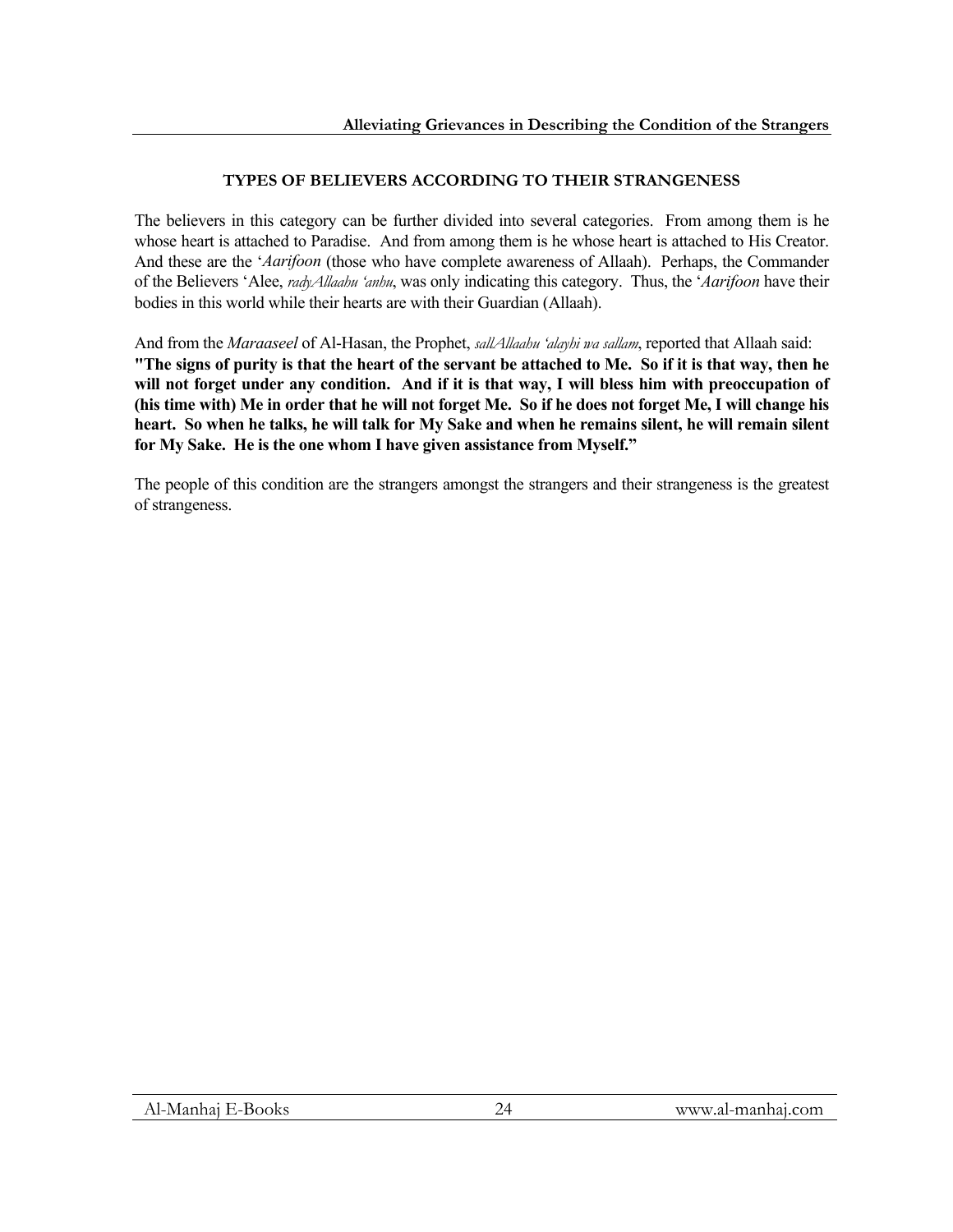# **TYPES OF BELIEVERS ACCORDING TO THEIR STRANGENESS**

The believers in this category can be further divided into several categories. From among them is he whose heart is attached to Paradise. And from among them is he whose heart is attached to His Creator. And these are the '*Aarifoon* (those who have complete awareness of Allaah). Perhaps, the Commander of the Believers 'Alee, *radyAllaahu 'anhu*, was only indicating this category. Thus, the '*Aarifoon* have their bodies in this world while their hearts are with their Guardian (Allaah).

And from the *Maraaseel* of Al-Hasan, the Prophet, *sallAllaahu 'alayhi wa sallam*, reported that Allaah said: **"The signs of purity is that the heart of the servant be attached to Me. So if it is that way, then he will not forget under any condition. And if it is that way, I will bless him with preoccupation of (his time with) Me in order that he will not forget Me. So if he does not forget Me, I will change his heart. So when he talks, he will talk for My Sake and when he remains silent, he will remain silent for My Sake. He is the one whom I have given assistance from Myself."** 

The people of this condition are the strangers amongst the strangers and their strangeness is the greatest of strangeness.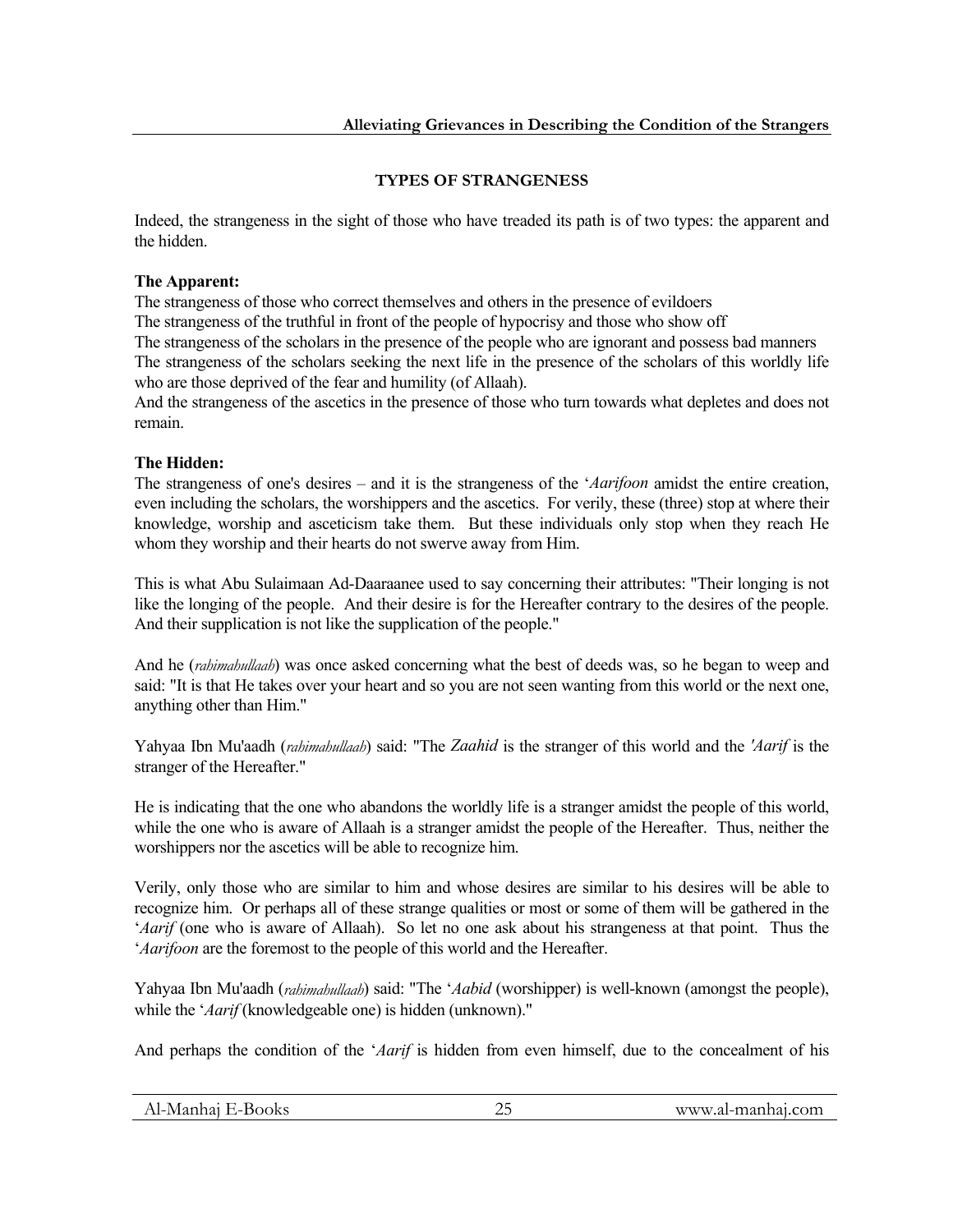# **TYPES OF STRANGENESS**

Indeed, the strangeness in the sight of those who have treaded its path is of two types: the apparent and the hidden.

#### **The Apparent:**

The strangeness of those who correct themselves and others in the presence of evildoers The strangeness of the truthful in front of the people of hypocrisy and those who show off The strangeness of the scholars in the presence of the people who are ignorant and possess bad manners The strangeness of the scholars seeking the next life in the presence of the scholars of this worldly life who are those deprived of the fear and humility (of Allaah).

And the strangeness of the ascetics in the presence of those who turn towards what depletes and does not remain.

### **The Hidden:**

The strangeness of one's desires – and it is the strangeness of the '*Aarifoon* amidst the entire creation, even including the scholars, the worshippers and the ascetics. For verily, these (three) stop at where their knowledge, worship and asceticism take them. But these individuals only stop when they reach He whom they worship and their hearts do not swerve away from Him.

This is what Abu Sulaimaan Ad-Daaraanee used to say concerning their attributes: "Their longing is not like the longing of the people. And their desire is for the Hereafter contrary to the desires of the people. And their supplication is not like the supplication of the people."

And he (*rahimahullaah*) was once asked concerning what the best of deeds was, so he began to weep and said: "It is that He takes over your heart and so you are not seen wanting from this world or the next one, anything other than Him."

Yahyaa Ibn Mu'aadh (*rahimahullaah*) said: "The *Zaahid* is the stranger of this world and the *'Aarif* is the stranger of the Hereafter."

He is indicating that the one who abandons the worldly life is a stranger amidst the people of this world, while the one who is aware of Allaah is a stranger amidst the people of the Hereafter. Thus, neither the worshippers nor the ascetics will be able to recognize him.

Verily, only those who are similar to him and whose desires are similar to his desires will be able to recognize him. Or perhaps all of these strange qualities or most or some of them will be gathered in the '*Aarif* (one who is aware of Allaah). So let no one ask about his strangeness at that point. Thus the '*Aarifoon* are the foremost to the people of this world and the Hereafter.

Yahyaa Ibn Mu'aadh (*rahimahullaah*) said: "The '*Aabid* (worshipper) is well-known (amongst the people), while the '*Aarif* (knowledgeable one) is hidden (unknown)."

And perhaps the condition of the '*Aarif* is hidden from even himself, due to the concealment of his

| Al-Manhaj E-Books<br>www.al-manhai.com |  |
|----------------------------------------|--|
|----------------------------------------|--|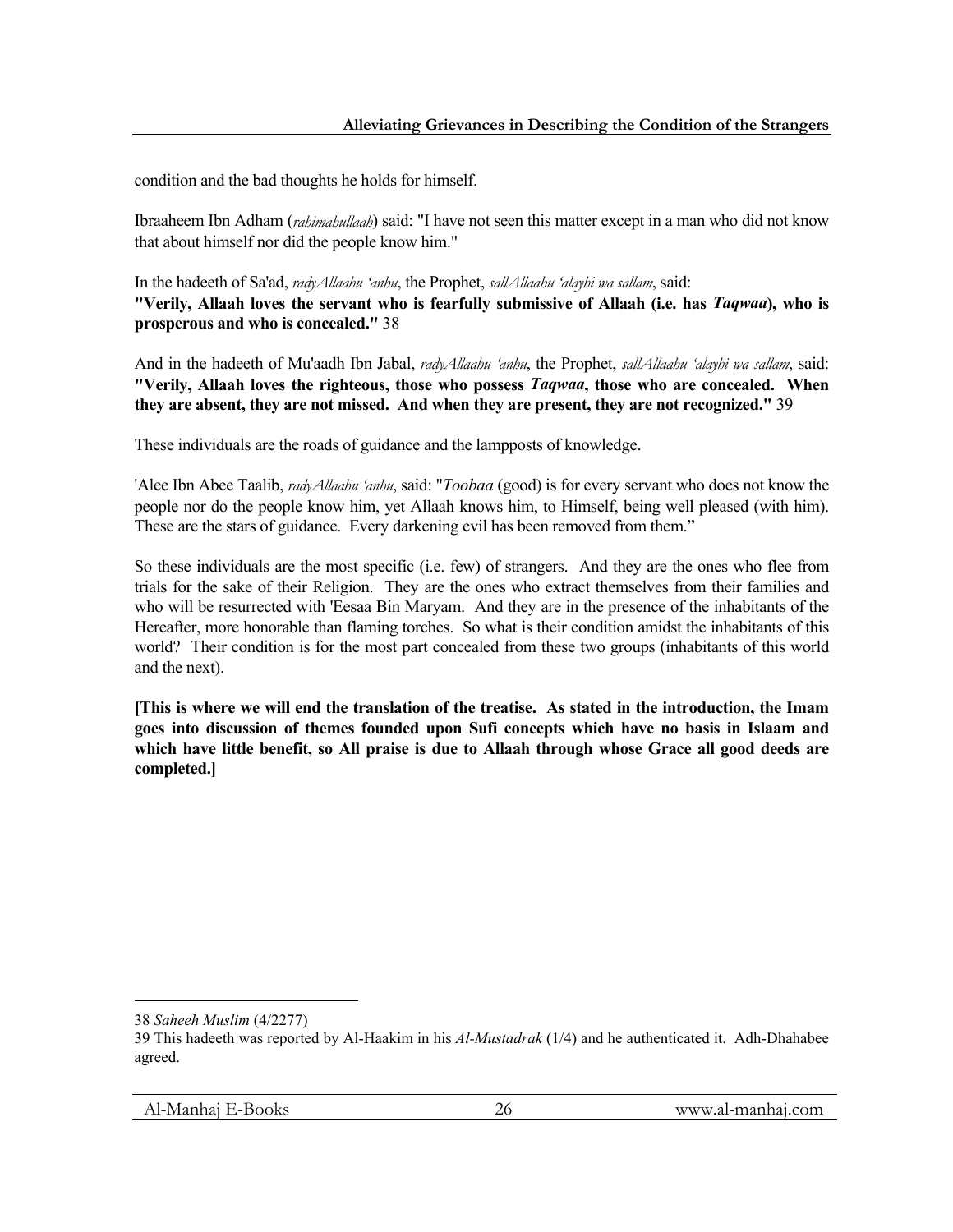condition and the bad thoughts he holds for himself.

Ibraaheem Ibn Adham (*rahimahullaah*) said: "I have not seen this matter except in a man who did not know that about himself nor did the people know him."

In the hadeeth of Sa'ad, *radyAllaahu 'anhu*, the Prophet, *sallAllaahu 'alayhi wa sallam*, said: **"Verily, Allaah loves the servant who is fearfully submissive of Allaah (i.e. has** *Taqwaa***), who is prosperous and who is concealed."** 38

And in the hadeeth of Mu'aadh Ibn Jabal, *radyAllaahu 'anhu*, the Prophet, *sallAllaahu 'alayhi wa sallam*, said: **"Verily, Allaah loves the righteous, those who possess** *Taqwaa***, those who are concealed. When they are absent, they are not missed. And when they are present, they are not recognized."** 39

These individuals are the roads of guidance and the lampposts of knowledge.

'Alee Ibn Abee Taalib, *radyAllaahu 'anhu*, said: "*Toobaa* (good) is for every servant who does not know the people nor do the people know him, yet Allaah knows him, to Himself, being well pleased (with him). These are the stars of guidance. Every darkening evil has been removed from them."

So these individuals are the most specific (i.e. few) of strangers. And they are the ones who flee from trials for the sake of their Religion. They are the ones who extract themselves from their families and who will be resurrected with 'Eesaa Bin Maryam. And they are in the presence of the inhabitants of the Hereafter, more honorable than flaming torches. So what is their condition amidst the inhabitants of this world? Their condition is for the most part concealed from these two groups (inhabitants of this world and the next).

**[This is where we will end the translation of the treatise. As stated in the introduction, the Imam goes into discussion of themes founded upon Sufi concepts which have no basis in Islaam and which have little benefit, so All praise is due to Allaah through whose Grace all good deeds are completed.]** 

<sup>38</sup> *Saheeh Muslim* (4/2277)

<sup>39</sup> This hadeeth was reported by Al-Haakim in his *Al-Mustadrak* (1/4) and he authenticated it. Adh-Dhahabee agreed.